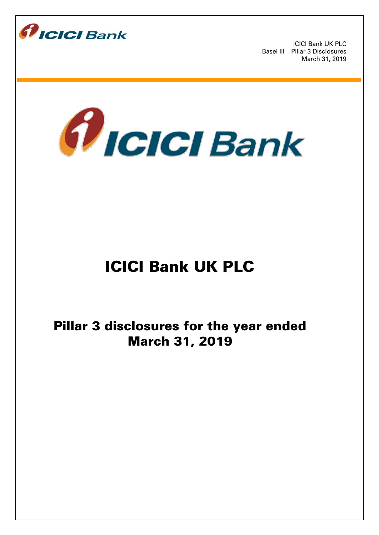



# ICICI Bank UK PLC

Pillar 3 disclosures for the year ended March 31, 2019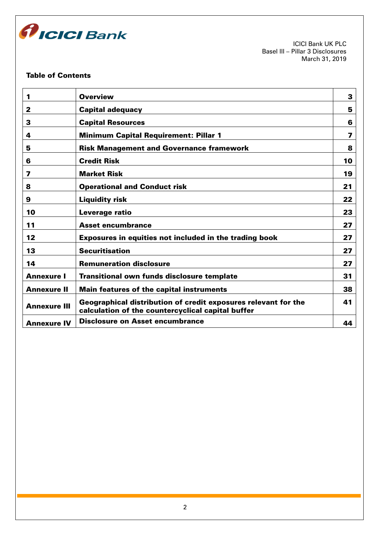

# Table of Contents

| 1                   | <b>Overview</b>                                                                                                     | 3  |
|---------------------|---------------------------------------------------------------------------------------------------------------------|----|
| 2                   | <b>Capital adequacy</b>                                                                                             | 5  |
| 3                   | <b>Capital Resources</b>                                                                                            | 6  |
| 4                   | <b>Minimum Capital Requirement: Pillar 1</b>                                                                        | 7  |
| 5                   | <b>Risk Management and Governance framework</b>                                                                     | 8  |
| 6                   | <b>Credit Risk</b>                                                                                                  | 10 |
| 7                   | <b>Market Risk</b>                                                                                                  | 19 |
| 8                   | <b>Operational and Conduct risk</b>                                                                                 | 21 |
| 9                   | <b>Liquidity risk</b>                                                                                               | 22 |
| 10                  | Leverage ratio                                                                                                      | 23 |
| 11                  | <b>Asset encumbrance</b>                                                                                            | 27 |
| 12                  | Exposures in equities not included in the trading book                                                              | 27 |
| 13                  | <b>Securitisation</b>                                                                                               | 27 |
| 14                  | <b>Remuneration disclosure</b>                                                                                      | 27 |
| <b>Annexure I</b>   | <b>Transitional own funds disclosure template</b>                                                                   | 31 |
| <b>Annexure II</b>  | <b>Main features of the capital instruments</b>                                                                     | 38 |
| <b>Annexure III</b> | Geographical distribution of credit exposures relevant for the<br>calculation of the countercyclical capital buffer | 41 |
| <b>Annexure IV</b>  | <b>Disclosure on Asset encumbrance</b>                                                                              | 44 |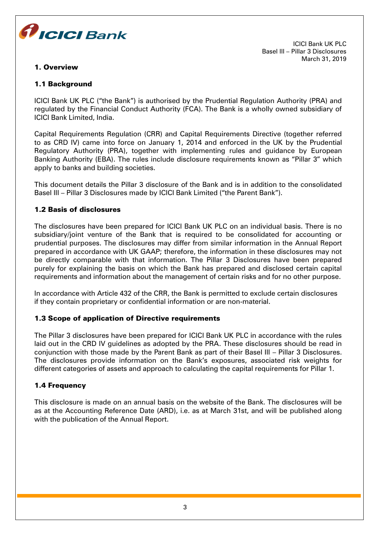

## 1. Overview

ICICI Bank UK PLC Basel III – Pillar 3 Disclosures March 31, 2019

# 1.1 Background

ICICI Bank UK PLC ("the Bank") is authorised by the Prudential Regulation Authority (PRA) and regulated by the Financial Conduct Authority (FCA). The Bank is a wholly owned subsidiary of ICICI Bank Limited, India.

Capital Requirements Regulation (CRR) and Capital Requirements Directive (together referred to as CRD IV) came into force on January 1, 2014 and enforced in the UK by the Prudential Regulatory Authority (PRA), together with implementing rules and guidance by European Banking Authority (EBA). The rules include disclosure requirements known as "Pillar 3" which apply to banks and building societies.

This document details the Pillar 3 disclosure of the Bank and is in addition to the consolidated Basel III – Pillar 3 Disclosures made by ICICI Bank Limited ("the Parent Bank").

## 1.2 Basis of disclosures

The disclosures have been prepared for ICICI Bank UK PLC on an individual basis. There is no subsidiary/joint venture of the Bank that is required to be consolidated for accounting or prudential purposes. The disclosures may differ from similar information in the Annual Report prepared in accordance with UK GAAP; therefore, the information in these disclosures may not be directly comparable with that information. The Pillar 3 Disclosures have been prepared purely for explaining the basis on which the Bank has prepared and disclosed certain capital requirements and information about the management of certain risks and for no other purpose.

In accordance with Article 432 of the CRR, the Bank is permitted to exclude certain disclosures if they contain proprietary or confidential information or are non-material.

## 1.3 Scope of application of Directive requirements

The Pillar 3 disclosures have been prepared for ICICI Bank UK PLC in accordance with the rules laid out in the CRD IV guidelines as adopted by the PRA. These disclosures should be read in conjunction with those made by the Parent Bank as part of their Basel III – Pillar 3 Disclosures. The disclosures provide information on the Bank's exposures, associated risk weights for different categories of assets and approach to calculating the capital requirements for Pillar 1.

## 1.4 Frequency

This disclosure is made on an annual basis on the website of the Bank. The disclosures will be as at the Accounting Reference Date (ARD), i.e. as at March 31st, and will be published along with the publication of the Annual Report.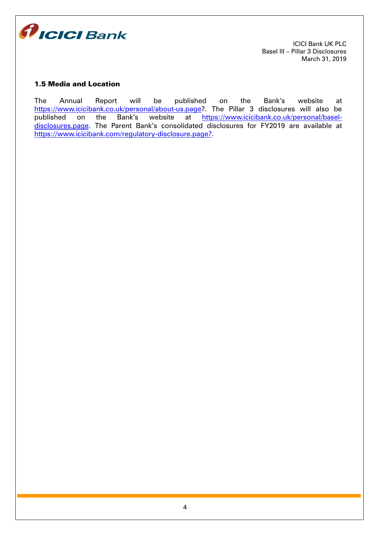

## 1.5 Media and Location

The Annual Report will be published on the Bank's website at [https://www.icicibank.co.uk/personal/about-us.page?](https://www.icicibank.co.uk/personal/about-us.page). The Pillar 3 disclosures will also be<br>published on the Bank's website at https://www.icicibank.co.uk/personal/baselon the Bank's website at [https://www.icicibank.co.uk/personal/basel](https://www.icicibank.co.uk/personal/basel-disclosures.page)[disclosures.page](https://www.icicibank.co.uk/personal/basel-disclosures.page). The Parent Bank's consolidated disclosures for FY2019 are available at [https://www.icicibank.com/regulatory-disclosure.page?.](https://www.icicibank.com/regulatory-disclosure.page?)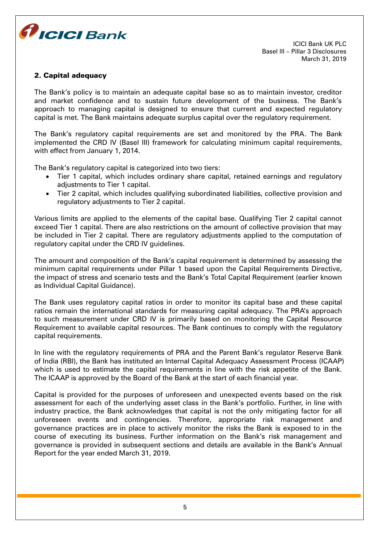

#### 2. Capital adequacy

The Bank's policy is to maintain an adequate capital base so as to maintain investor, creditor and market confidence and to sustain future development of the business. The Bank's approach to managing capital is designed to ensure that current and expected regulatory capital is met. The Bank maintains adequate surplus capital over the regulatory requirement.

The Bank's regulatory capital requirements are set and monitored by the PRA. The Bank implemented the CRD IV (Basel III) framework for calculating minimum capital requirements, with effect from January 1, 2014.

The Bank's regulatory capital is categorized into two tiers:

- Tier 1 capital, which includes ordinary share capital, retained earnings and regulatory adiustments to Tier 1 capital.
- Tier 2 capital, which includes qualifying subordinated liabilities, collective provision and regulatory adjustments to Tier 2 capital.

Various limits are applied to the elements of the capital base. Qualifying Tier 2 capital cannot exceed Tier 1 capital. There are also restrictions on the amount of collective provision that may be included in Tier 2 capital. There are regulatory adjustments applied to the computation of regulatory capital under the CRD IV guidelines.

The amount and composition of the Bank's capital requirement is determined by assessing the minimum capital requirements under Pillar 1 based upon the Capital Requirements Directive, the impact of stress and scenario tests and the Bank's Total Capital Requirement (earlier known as Individual Capital Guidance).

The Bank uses regulatory capital ratios in order to monitor its capital base and these capital ratios remain the international standards for measuring capital adequacy. The PRA's approach to such measurement under CRD IV is primarily based on monitoring the Capital Resource Requirement to available capital resources. The Bank continues to comply with the regulatory capital requirements.

In line with the regulatory requirements of PRA and the Parent Bank's regulator Reserve Bank of India (RBI), the Bank has instituted an Internal Capital Adequacy Assessment Process (ICAAP) which is used to estimate the capital requirements in line with the risk appetite of the Bank. The ICAAP is approved by the Board of the Bank at the start of each financial year.

Capital is provided for the purposes of unforeseen and unexpected events based on the risk assessment for each of the underlying asset class in the Bank's portfolio. Further, in line with industry practice, the Bank acknowledges that capital is not the only mitigating factor for all unforeseen events and contingencies. Therefore, appropriate risk management and governance practices are in place to actively monitor the risks the Bank is exposed to in the course of executing its business. Further information on the Bank's risk management and governance is provided in subsequent sections and details are available in the Bank's Annual Report for the year ended March 31, 2019.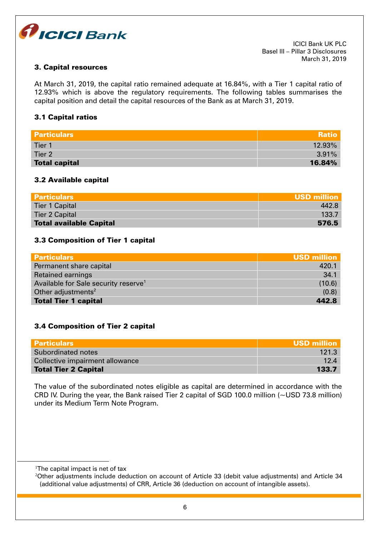

## 3. Capital resources

At March 31, 2019, the capital ratio remained adequate at 16.84%, with a Tier 1 capital ratio of 12.93% which is above the regulatory requirements. The following tables summarises the capital position and detail the capital resources of the Bank as at March 31, 2019.

#### 3.1 Capital ratios

| <b>Particulars</b>   | <b>Ratio</b> |
|----------------------|--------------|
| Tier 1               | $12.93\%$    |
| Tier 2               | $3.91\%$     |
| <b>Total capital</b> | 16.84%       |

#### 3.2 Available capital

| <b>Particulars</b>             | USD million |
|--------------------------------|-------------|
| <b>Tier 1 Capital</b>          | 4428        |
| <b>Tier 2 Capital</b>          | 133.7       |
| <b>Total available Capital</b> | 576.5       |

#### 3.3 Composition of Tier 1 capital

| <b>Particulars</b>                               | <b>USD million</b> |
|--------------------------------------------------|--------------------|
| Permanent share capital                          | 420.1              |
| <b>Retained earnings</b>                         | 34.1               |
| Available for Sale security reserve <sup>1</sup> | (10.6)             |
| Other adjustments <sup>2</sup>                   | (0.8)              |
| <b>Total Tier 1 capital</b>                      | 442.8              |

## 3.4 Composition of Tier 2 capital

| <b>Particulars</b>              | <b>USD million</b> |
|---------------------------------|--------------------|
| Subordinated notes              | 121.3              |
| Collective impairment allowance | 12.4               |
| <b>Total Tier 2 Capital</b>     | 133.7              |

The value of the subordinated notes eligible as capital are determined in accordance with the CRD IV. During the year, the Bank raised Tier 2 capital of SGD 100.0 million (~USD 73.8 million) under its Medium Term Note Program.

<u>.</u>

<sup>&</sup>lt;sup>1</sup>The capital impact is net of tax

<sup>&</sup>lt;sup>2</sup>Other adjustments include deduction on account of Article 33 (debit value adjustments) and Article 34 (additional value adjustments) of CRR, Article 36 (deduction on account of intangible assets).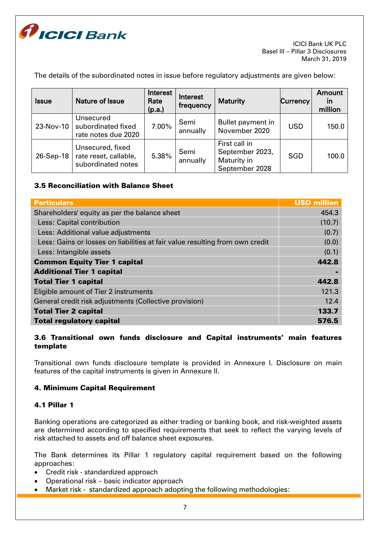

The details of the subordinated notes in issue before regulatory adjustments are given below:

| <b>Issue</b> | <b>Nature of Issue</b>                                          | Interest<br>Rate<br>(p.a.) | Interest<br>frequency | <b>Maturity</b>                                                   | Currency   | Amount<br>in<br>million |
|--------------|-----------------------------------------------------------------|----------------------------|-----------------------|-------------------------------------------------------------------|------------|-------------------------|
| 23-Nov-10    | Unsecured<br>subordinated fixed<br>rate notes due 2020          | 7.00%                      | Semi<br>annually      | Bullet payment in<br>November 2020                                | <b>USD</b> | 150.0                   |
| 26-Sep-18    | Unsecured, fixed<br>rate reset, callable,<br>subordinated notes | 5.38%                      | Semi<br>annually      | First call in<br>September 2023,<br>Maturity in<br>September 2028 | <b>SGD</b> | 100.0                   |

## 3.5 Reconciliation with Balance Sheet

| <b>Particulars</b>                                                           | <b>USD million</b> |
|------------------------------------------------------------------------------|--------------------|
| Shareholders' equity as per the balance sheet                                | 454.3              |
| Less: Capital contribution                                                   | (10.7)             |
| Less: Additional value adjustments                                           | (0.7)              |
| Less: Gains or losses on liabilities at fair value resulting from own credit | (0.0)              |
| Less: Intangible assets                                                      | (0.1)              |
| <b>Common Equity Tier 1 capital</b>                                          | 442.8              |
| <b>Additional Tier 1 capital</b>                                             |                    |
| <b>Total Tier 1 capital</b>                                                  | 442.8              |
| Eligible amount of Tier 2 instruments                                        | 121.3              |
| General credit risk adjustments (Collective provision)                       | 12.4               |
| <b>Total Tier 2 capital</b>                                                  | 133.7              |
| <b>Total regulatory capital</b>                                              | 576.5              |

# 3.6 Transitional own funds disclosure and Capital instruments' main features template

Transitional own funds disclosure template is provided in Annexure I. Disclosure on main features of the capital instruments is given in Annexure II.

## 4. Minimum Capital Requirement

## 4.1 Pillar 1

Banking operations are categorized as either trading or banking book, and risk-weighted assets are determined according to specified requirements that seek to reflect the varying levels of risk attached to assets and off balance sheet exposures.

The Bank determines its Pillar 1 regulatory capital requirement based on the following approaches:

- Credit risk standardized approach
- Operational risk basic indicator approach
- Market risk standardized approach adopting the following methodologies: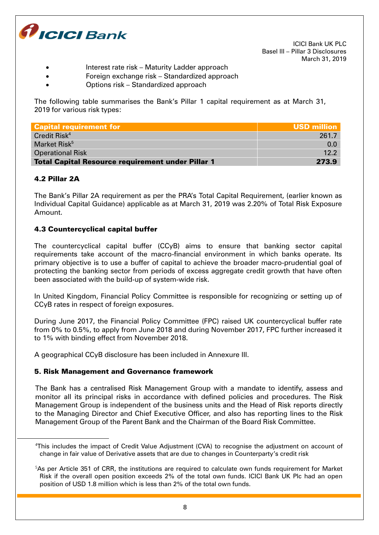

- Interest rate risk Maturity Ladder approach
	- Foreign exchange risk Standardized approach
- Options risk Standardized approach

The following table summarises the Bank's Pillar 1 capital requirement as at March 31, 2019 for various risk types:

| <b>Capital requirement for</b>                           | USD million |
|----------------------------------------------------------|-------------|
| Credit Risk <sup>4</sup>                                 | 261.7       |
| Market Risk <sup>5</sup>                                 | 0.0         |
| <b>Operational Risk</b>                                  | 122         |
| <b>Total Capital Resource requirement under Pillar 1</b> | 273.9       |

# 4.2 Pillar 2A

<u>.</u>

The Bank's Pillar 2A requirement as per the PRA's Total Capital Requirement, (earlier known as Individual Capital Guidance) applicable as at March 31, 2019 was 2.20% of Total Risk Exposure Amount.

## 4.3 Countercyclical capital buffer

The countercyclical capital buffer (CCyB) aims to ensure that banking sector capital requirements take account of the macro-financial environment in which banks operate. Its primary objective is to use a buffer of capital to achieve the broader macro-prudential goal of protecting the banking sector from periods of excess aggregate credit growth that have often been associated with the build-up of system-wide risk.

In United Kingdom, Financial Policy Committee is responsible for recognizing or setting up of CCyB rates in respect of foreign exposures.

During June 2017, the Financial Policy Committee (FPC) raised UK countercyclical buffer rate from 0% to 0.5%, to apply from June 2018 and during November 2017, FPC further increased it to 1% with binding effect from November 2018.

A geographical CCyB disclosure has been included in Annexure III.

## 5. Risk Management and Governance framework

The Bank has a centralised Risk Management Group with a mandate to identify, assess and monitor all its principal risks in accordance with defined policies and procedures. The Risk Management Group is independent of the business units and the Head of Risk reports directly to the Managing Director and Chief Executive Officer, and also has reporting lines to the Risk Management Group of the Parent Bank and the Chairman of the Board Risk Committee.

<sup>4</sup>This includes the impact of Credit Value Adjustment (CVA) to recognise the adjustment on account of change in fair value of Derivative assets that are due to changes in Counterparty's credit risk

<sup>&</sup>lt;sup>5</sup>As per Article 351 of CRR, the institutions are required to calculate own funds requirement for Market Risk if the overall open position exceeds 2% of the total own funds. ICICI Bank UK Plc had an open position of USD 1.8 million which is less than 2% of the total own funds.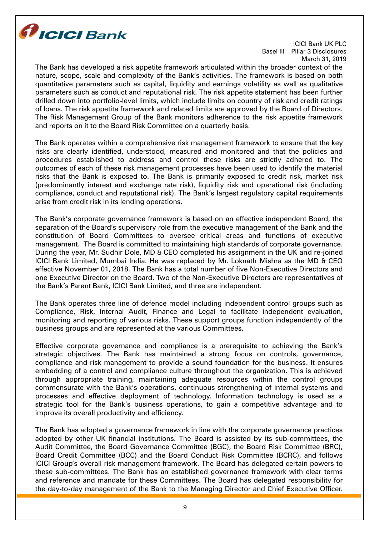

The Bank has developed a risk appetite framework articulated within the broader context of the nature, scope, scale and complexity of the Bank's activities. The framework is based on both quantitative parameters such as capital, liquidity and earnings volatility as well as qualitative parameters such as conduct and reputational risk. The risk appetite statement has been further drilled down into portfolio-level limits, which include limits on country of risk and credit ratings of loans. The risk appetite framework and related limits are approved by the Board of Directors. The Risk Management Group of the Bank monitors adherence to the risk appetite framework and reports on it to the Board Risk Committee on a quarterly basis.

The Bank operates within a comprehensive risk management framework to ensure that the key risks are clearly identified, understood, measured and monitored and that the policies and procedures established to address and control these risks are strictly adhered to. The outcomes of each of these risk management processes have been used to identify the material risks that the Bank is exposed to. The Bank is primarily exposed to credit risk, market risk (predominantly interest and exchange rate risk), liquidity risk and operational risk (including compliance, conduct and reputational risk). The Bank's largest regulatory capital requirements arise from credit risk in its lending operations.

The Bank's corporate governance framework is based on an effective independent Board, the separation of the Board's supervisory role from the executive management of the Bank and the constitution of Board Committees to oversee critical areas and functions of executive management. The Board is committed to maintaining high standards of corporate governance. During the year, Mr. Sudhir Dole, MD & CEO completed his assignment in the UK and re-joined ICICI Bank Limited, Mumbai India. He was replaced by Mr. Loknath Mishra as the MD & CEO effective November 01, 2018. The Bank has a total number of five Non-Executive Directors and one Executive Director on the Board. Two of the Non-Executive Directors are representatives of the Bank's Parent Bank, ICICI Bank Limited, and three are independent.

The Bank operates three line of defence model including independent control groups such as Compliance, Risk, Internal Audit, Finance and Legal to facilitate independent evaluation, monitoring and reporting of various risks. These support groups function independently of the business groups and are represented at the various Committees.

Effective corporate governance and compliance is a prerequisite to achieving the Bank's strategic objectives. The Bank has maintained a strong focus on controls, governance, compliance and risk management to provide a sound foundation for the business. It ensures embedding of a control and compliance culture throughout the organization. This is achieved through appropriate training, maintaining adequate resources within the control groups commensurate with the Bank's operations, continuous strengthening of internal systems and processes and effective deployment of technology. Information technology is used as a strategic tool for the Bank's business operations, to gain a competitive advantage and to improve its overall productivity and efficiency.

The Bank has adopted a governance framework in line with the corporate governance practices adopted by other UK financial institutions. The Board is assisted by its sub-committees, the Audit Committee, the Board Governance Committee (BGC), the Board Risk Committee (BRC), Board Credit Committee (BCC) and the Board Conduct Risk Committee (BCRC), and follows ICICI Group's overall risk management framework. The Board has delegated certain powers to these sub-committees. The Bank has an established governance framework with clear terms and reference and mandate for these Committees. The Board has delegated responsibility for the day-to-day management of the Bank to the Managing Director and Chief Executive Officer.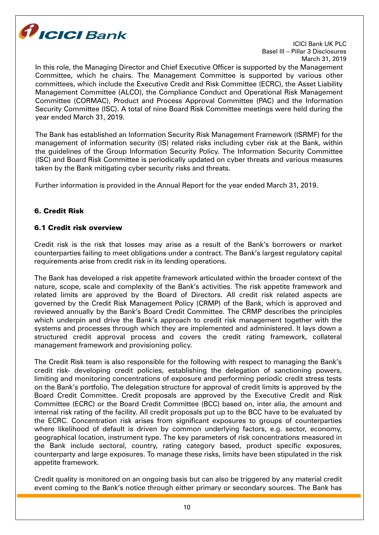

In this role, the Managing Director and Chief Executive Officer is supported by the Management Committee, which he chairs. The Management Committee is supported by various other committees, which include the Executive Credit and Risk Committee (ECRC), the Asset Liability Management Committee (ALCO), the Compliance Conduct and Operational Risk Management Committee (CORMAC), Product and Process Approval Committee (PAC) and the Information Security Committee (ISC). A total of nine Board Risk Committee meetings were held during the year ended March 31, 2019.

The Bank has established an Information Security Risk Management Framework (ISRMF) for the management of information security (IS) related risks including cyber risk at the Bank, within the guidelines of the Group Information Security Policy. The Information Security Committee (ISC) and Board Risk Committee is periodically updated on cyber threats and various measures taken by the Bank mitigating cyber security risks and threats.

Further information is provided in the Annual Report for the year ended March 31, 2019.

# 6. Credit Risk

## 6.1 Credit risk overview

Credit risk is the risk that losses may arise as a result of the Bank's borrowers or market counterparties failing to meet obligations under a contract. The Bank's largest regulatory capital requirements arise from credit risk in its lending operations.

The Bank has developed a risk appetite framework articulated within the broader context of the nature, scope, scale and complexity of the Bank's activities. The risk appetite framework and related limits are approved by the Board of Directors. All credit risk related aspects are governed by the Credit Risk Management Policy (CRMP) of the Bank, which is approved and reviewed annually by the Bank's Board Credit Committee. The CRMP describes the principles which underpin and drive the Bank's approach to credit risk management together with the systems and processes through which they are implemented and administered. It lays down a structured credit approval process and covers the credit rating framework, collateral management framework and provisioning policy.

The Credit Risk team is also responsible for the following with respect to managing the Bank's credit risk- developing credit policies, establishing the delegation of sanctioning powers, limiting and monitoring concentrations of exposure and performing periodic credit stress tests on the Bank's portfolio. The delegation structure for approval of credit limits is approved by the Board Credit Committee. Credit proposals are approved by the Executive Credit and Risk Committee (ECRC) or the Board Credit Committee (BCC) based on, inter alia, the amount and internal risk rating of the facility. All credit proposals put up to the BCC have to be evaluated by the ECRC. Concentration risk arises from significant exposures to groups of counterparties where likelihood of default is driven by common underlying factors, e.g. sector, economy, geographical location, instrument type. The key parameters of risk concentrations measured in the Bank include sectoral, country, rating category based, product specific exposures, counterparty and large exposures. To manage these risks, limits have been stipulated in the risk appetite framework.

Credit quality is monitored on an ongoing basis but can also be triggered by any material credit event coming to the Bank's notice through either primary or secondary sources. The Bank has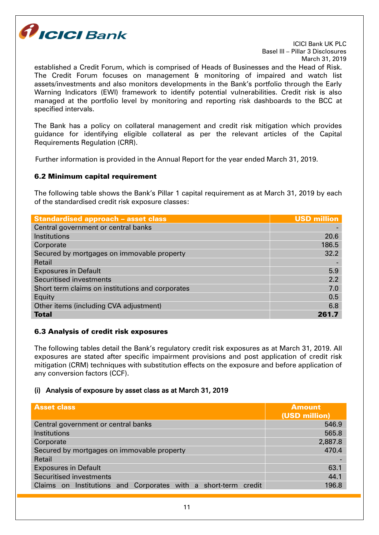

established a Credit Forum, which is comprised of Heads of Businesses and the Head of Risk. The Credit Forum focuses on management & monitoring of impaired and watch list assets/investments and also monitors developments in the Bank's portfolio through the Early Warning Indicators (EWI) framework to identify potential vulnerabilities. Credit risk is also managed at the portfolio level by monitoring and reporting risk dashboards to the BCC at specified intervals.

The Bank has a policy on collateral management and credit risk mitigation which provides guidance for identifying eligible collateral as per the relevant articles of the Capital Requirements Regulation (CRR).

Further information is provided in the Annual Report for the year ended March 31, 2019.

#### 6.2 Minimum capital requirement

The following table shows the Bank's Pillar 1 capital requirement as at March 31, 2019 by each of the standardised credit risk exposure classes:

| <b>Standardised approach - asset class</b>       | <b>USD million</b> |
|--------------------------------------------------|--------------------|
| Central government or central banks              |                    |
| Institutions                                     | 20.6               |
| Corporate                                        | 186.5              |
| Secured by mortgages on immovable property       | 32.2               |
| Retail                                           |                    |
| <b>Exposures in Default</b>                      | 5.9                |
| <b>Securitised investments</b>                   | 2.2                |
| Short term claims on institutions and corporates | 7.0                |
| Equity                                           | 0.5                |
| Other items (including CVA adjustment)           | 6,8                |
| <b>Total</b>                                     | 261.7              |

#### 6.3 Analysis of credit risk exposures

The following tables detail the Bank's regulatory credit risk exposures as at March 31, 2019. All exposures are stated after specific impairment provisions and post application of credit risk mitigation (CRM) techniques with substitution effects on the exposure and before application of any conversion factors (CCF).

## (i) Analysis of exposure by asset class as at March 31, 2019

| <b>Asset class</b>                                             | <b>Amount</b><br>(USD million) |  |
|----------------------------------------------------------------|--------------------------------|--|
| Central government or central banks                            | 546.9                          |  |
| Institutions                                                   | 565.8                          |  |
| Corporate                                                      | 2,887.8                        |  |
| Secured by mortgages on immovable property                     | 470.4                          |  |
| Retail                                                         |                                |  |
| <b>Exposures in Default</b>                                    | 63.1                           |  |
| <b>Securitised investments</b>                                 | 44.1                           |  |
| Claims on Institutions and Corporates with a short-term credit | 196.8                          |  |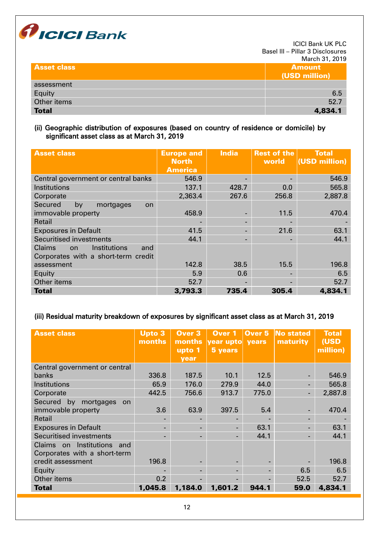

| <b>Asset class</b> | <b>Amount</b><br>(USD million) |
|--------------------|--------------------------------|
| assessment         |                                |
| Equity             | 6.5                            |
| Other items        | 52.7                           |
| <b>Total</b>       | 4,834.1                        |

## (ii) Geographic distribution of exposures (based on country of residence or domicile) by significant asset class as at March 31, 2019

| <b>Asset class</b>                                                                       | <b>Europe and</b><br><b>North</b><br><b>America</b> | <b>India</b>             | <b>Rest of the</b><br>world | <b>Total</b><br>(USD million) |
|------------------------------------------------------------------------------------------|-----------------------------------------------------|--------------------------|-----------------------------|-------------------------------|
| Central government or central banks                                                      | 546.9                                               |                          |                             | 546.9                         |
| Institutions                                                                             | 137.1                                               | 428.7                    | 0.0                         | 565.8                         |
| Corporate                                                                                | 2,363.4                                             | 267.6                    | 256.8                       | 2,887.8                       |
| Secured<br>mortgages<br>by<br>on.                                                        |                                                     |                          |                             |                               |
| immovable property                                                                       | 458.9                                               | -                        | 11.5                        | 470.4                         |
| Retail                                                                                   |                                                     |                          |                             |                               |
| <b>Exposures in Default</b>                                                              | 41.5                                                |                          | 21.6                        | 63.1                          |
| <b>Securitised investments</b>                                                           | 44.1                                                | $\overline{\phantom{0}}$ |                             | 44.1                          |
| <b>Claims</b><br>Institutions<br>and<br><b>on</b><br>Corporates with a short-term credit |                                                     |                          |                             |                               |
| assessment                                                                               | 142.8                                               | 38.5                     | 15.5                        | 196.8                         |
| Equity                                                                                   | 5.9                                                 | 0.6                      |                             | 6.5                           |
| Other items                                                                              | 52.7                                                |                          |                             | 52.7                          |
| <b>Total</b>                                                                             | 3,793.3                                             | 735.4                    | 305.4                       | 4,834.1                       |

## (iii) Residual maturity breakdown of exposures by significant asset class as at March 31, 2019

| <b>Asset class</b>                                               | <b>Upto 3</b><br>months | <b>Over 3</b><br>months<br>upto 1<br><b>vear</b> | Over 1<br>vear upto years<br>5 years | Over 5 | No stated<br>maturity | <b>Total</b><br>(USD<br>million) |
|------------------------------------------------------------------|-------------------------|--------------------------------------------------|--------------------------------------|--------|-----------------------|----------------------------------|
| Central government or central                                    |                         |                                                  |                                      |        |                       |                                  |
| banks                                                            | 336.8                   | 187.5                                            | 10.1                                 | 12.5   |                       | 546.9                            |
| Institutions                                                     | 65.9                    | 176.0                                            | 279.9                                | 44.0   |                       | 565.8                            |
| Corporate                                                        | 442.5                   | 756.6                                            | 913.7                                | 775.0  |                       | 2,887.8                          |
| Secured by<br>mortgages<br><b>on</b><br>immovable property       | 3.6                     | 63.9                                             | 397.5                                | 5.4    |                       | 470.4                            |
|                                                                  |                         |                                                  |                                      |        |                       |                                  |
| Retail                                                           |                         |                                                  | н.                                   |        |                       |                                  |
| <b>Exposures in Default</b>                                      | н.                      |                                                  | $\blacksquare$                       | 63.1   |                       | 63.1                             |
| Securitised investments                                          |                         |                                                  | Ξ.                                   | 44.1   |                       | 44.1                             |
| Institutions<br>Claims on<br>and<br>Corporates with a short-term |                         |                                                  |                                      |        |                       |                                  |
| credit assessment                                                | 196.8                   |                                                  |                                      |        |                       | 196.8                            |
| Equity                                                           |                         |                                                  | -                                    |        | 6.5                   | 6.5                              |
| Other items                                                      | 0.2                     |                                                  |                                      |        | 52.5                  | 52.7                             |
| <b>Total</b>                                                     | 1,045.8                 | 1,184.0                                          | 1,601.2                              | 944.1  | 59.0                  | 4,834.1                          |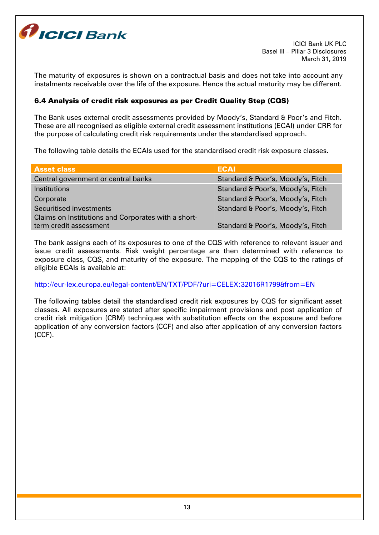

The maturity of exposures is shown on a contractual basis and does not take into account any instalments receivable over the life of the exposure. Hence the actual maturity may be different.

# 6.4 Analysis of credit risk exposures as per Credit Quality Step (CQS)

The Bank uses external credit assessments provided by Moody's, Standard & Poor's and Fitch. These are all recognised as eligible external credit assessment institutions (ECAI) under CRR for the purpose of calculating credit risk requirements under the standardised approach.

The following table details the ECAIs used for the standardised credit risk exposure classes.

| <b>Asset class</b>                                  | <b>ECAI</b>                       |
|-----------------------------------------------------|-----------------------------------|
| Central government or central banks                 | Standard & Poor's, Moody's, Fitch |
| Institutions                                        | Standard & Poor's, Moody's, Fitch |
| Corporate                                           | Standard & Poor's, Moody's, Fitch |
| Securitised investments                             | Standard & Poor's, Moody's, Fitch |
| Claims on Institutions and Corporates with a short- |                                   |
| term credit assessment                              | Standard & Poor's, Moody's, Fitch |

The bank assigns each of its exposures to one of the CQS with reference to relevant issuer and issue credit assessments. Risk weight percentage are then determined with reference to exposure class, CQS, and maturity of the exposure. The mapping of the CQS to the ratings of eligible ECAIs is available at:

<http://eur-lex.europa.eu/legal-content/EN/TXT/PDF/?uri=CELEX:32016R1799&from=EN>

The following tables detail the standardised credit risk exposures by CQS for significant asset classes. All exposures are stated after specific impairment provisions and post application of credit risk mitigation (CRM) techniques with substitution effects on the exposure and before application of any conversion factors (CCF) and also after application of any conversion factors (CCF).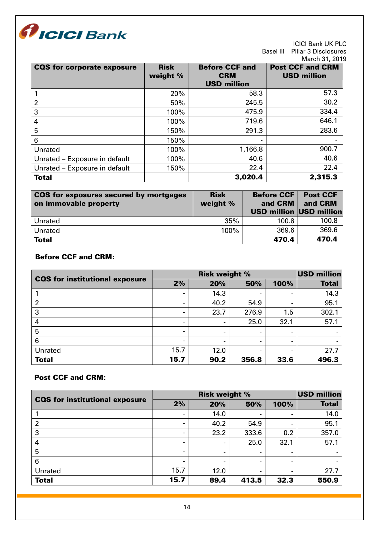

| <b>CQS for corporate exposure</b> | <b>Risk</b><br>weight % | <b>Before CCF and</b><br><b>CRM</b><br><b>USD million</b> | <b>Post CCF and CRM</b><br><b>USD million</b> |
|-----------------------------------|-------------------------|-----------------------------------------------------------|-----------------------------------------------|
|                                   | 20%                     | 58.3                                                      | 57.3                                          |
| $\overline{2}$                    | 50%                     | 245.5                                                     | 30.2                                          |
| 3                                 | 100%                    | 475.9                                                     | 334.4                                         |
| 4                                 | 100%                    | 719.6                                                     | 646.1                                         |
| 5                                 | 150%                    | 291.3                                                     | 283.6                                         |
| 6                                 | 150%                    |                                                           |                                               |
| Unrated                           | 100%                    | 1,166.8                                                   | 900.7                                         |
| Unrated - Exposure in default     | 100%                    | 40.6                                                      | 40.6                                          |
| Unrated - Exposure in default     | 150%                    | 22.4                                                      | 22.4                                          |
| <b>Total</b>                      |                         | 3,020.4                                                   | 2,315.3                                       |

| CQS for exposures secured by mortgages<br>on immovable property | <b>Risk</b><br>weight % | <b>Before CCF</b><br>and CRM<br><b>USD million USD million</b> | <b>Post CCF</b><br>and CRM |
|-----------------------------------------------------------------|-------------------------|----------------------------------------------------------------|----------------------------|
| Unrated                                                         | 35%                     | 100.8                                                          | 100.8                      |
| Unrated                                                         | 100%                    | 369.6                                                          | 369.6                      |
| <b>Total</b>                                                    |                         | 470.4                                                          | 470.4                      |

# Before CCF and CRM:

| <b>CQS for institutional exposure</b> | <b>Risk weight %</b> |      |       |      | USD million  |
|---------------------------------------|----------------------|------|-------|------|--------------|
|                                       | 2%                   | 20%  | 50%   | 100% | <b>Total</b> |
|                                       |                      | 14.3 |       |      | 14.3         |
| 2                                     |                      | 40.2 | 54.9  |      | 95.1         |
| 3                                     |                      | 23.7 | 276.9 | 1.5  | 302.1        |
| 4                                     |                      |      | 25.0  | 32.1 | 57.1         |
| 5                                     |                      |      |       |      |              |
| 6                                     |                      |      |       |      |              |
| Unrated                               | 15.7                 | 12.0 | -     |      | 27.7         |
| <b>Total</b>                          | 15.7                 | 90.2 | 356.8 | 33.6 | 496.3        |

# Post CCF and CRM:

| <b>CQS</b> for institutional exposure | <b>Risk weight %</b>     |                |       |      | <b>USD million</b> |
|---------------------------------------|--------------------------|----------------|-------|------|--------------------|
|                                       | 2%                       | 20%            | 50%   | 100% | <b>Total</b>       |
|                                       |                          | 14.0           |       |      | 14.0               |
| $\overline{2}$                        | $\overline{\phantom{0}}$ | 40.2           | 54.9  | ۰    | 95.1               |
| 3                                     |                          | 23.2           | 333.6 | 0.2  | 357.0              |
| 4                                     |                          |                | 25.0  | 32.1 | 57.1               |
| 5                                     | -                        | $\blacksquare$ |       |      |                    |
| 6                                     | $\overline{\phantom{0}}$ |                | -     | ۰    |                    |
| Unrated                               | 15.7                     | 12.0           | -     |      | 27.7               |
| <b>Total</b>                          | 15.7                     | 89.4           | 413.5 | 32.3 | 550.9              |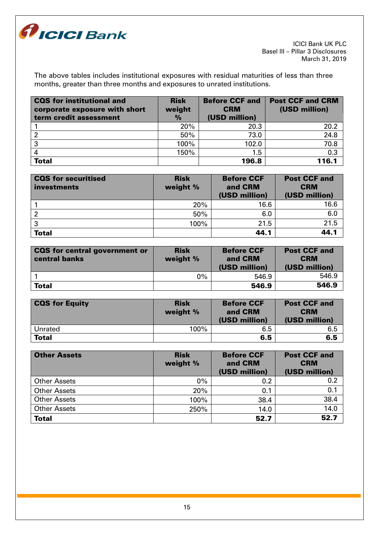

The above tables includes institutional exposures with residual maturities of less than three months, greater than three months and exposures to unrated institutions.

| <b>CQS</b> for institutional and<br>corporate exposure with short<br>term credit assessment | <b>Risk</b><br>weight<br>$\frac{9}{6}$ | <b>Before CCF and</b><br><b>CRM</b><br>(USD million) | <b>Post CCF and CRM</b><br>(USD million) |
|---------------------------------------------------------------------------------------------|----------------------------------------|------------------------------------------------------|------------------------------------------|
|                                                                                             | 20%                                    | 20.3                                                 | 20.2                                     |
|                                                                                             | 50%                                    | 73.0                                                 | 24.8                                     |
| -3                                                                                          | 100%                                   | 102.0                                                | 70.8                                     |
|                                                                                             | 150%                                   | 1.5                                                  | 0.3                                      |
| <b>Total</b>                                                                                |                                        | 196.8                                                | 116.1                                    |

| <b>CQS</b> for securitised<br>investments | <b>Risk</b><br>weight % | <b>Before CCF</b><br>and CRM<br>(USD million) | <b>Post CCF and</b><br><b>CRM</b><br>(USD million) |
|-------------------------------------------|-------------------------|-----------------------------------------------|----------------------------------------------------|
|                                           | 20%                     | 16.6                                          | 16.6                                               |
|                                           | 50%                     | 6.0                                           | 6.0                                                |
| 3                                         | 100%                    | 21.5                                          | 21.5                                               |
| <b>Total</b>                              |                         | 44.1                                          | 44.1                                               |

| <b>CQS</b> for central government or<br>central banks | <b>Risk</b><br>weight % | <b>Before CCF</b><br>and CRM<br>(USD million) | <b>Post CCF and</b><br><b>CRM</b><br>(USD million) |
|-------------------------------------------------------|-------------------------|-----------------------------------------------|----------------------------------------------------|
|                                                       | $0\%$                   | 546.9                                         | 546.9                                              |
| <b>Total</b>                                          |                         | 546.9                                         | 546.9                                              |

| <b>CQS for Equity</b> | <b>Risk</b><br>weight % | <b>Before CCF</b><br>and CRM<br>(USD million) | <b>Post CCF and</b><br><b>CRM</b><br>(USD million) |
|-----------------------|-------------------------|-----------------------------------------------|----------------------------------------------------|
| Unrated               | 100%                    | 6.5                                           | 6.5                                                |
| <b>Total</b>          |                         | 6.5                                           | 6.5                                                |

| <b>Other Assets</b> | <b>Risk</b><br>weight % | <b>Before CCF</b><br>and CRM<br>(USD million) | <b>Post CCF and</b><br><b>CRM</b><br>(USD million) |
|---------------------|-------------------------|-----------------------------------------------|----------------------------------------------------|
| <b>Other Assets</b> | $0\%$                   | 0.2                                           | 0.2                                                |
| <b>Other Assets</b> | 20%                     | 0.1                                           | 0.1                                                |
| <b>Other Assets</b> | 100%                    | 38.4                                          | 38.4                                               |
| <b>Other Assets</b> | 250%                    | 14.0                                          | 14.0                                               |
| <b>Total</b>        |                         | 52.7                                          | 52.7                                               |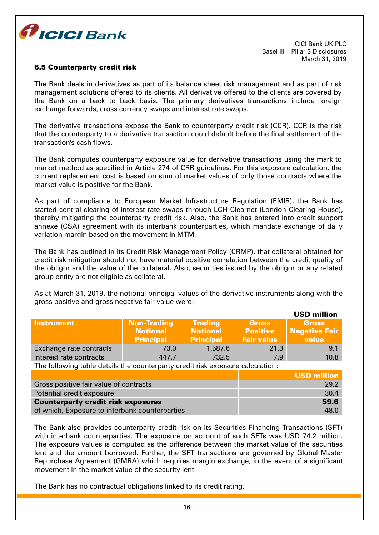

#### 6.5 Counterparty credit risk

The Bank deals in derivatives as part of its balance sheet risk management and as part of risk management solutions offered to its clients. All derivative offered to the clients are covered by the Bank on a back to back basis. The primary derivatives transactions include foreign exchange forwards, cross currency swaps and interest rate swaps.

The derivative transactions expose the Bank to counterparty credit risk (CCR). CCR is the risk that the counterparty to a derivative transaction could default before the final settlement of the transaction's cash flows.

The Bank computes counterparty exposure value for derivative transactions using the mark to market method as specified in Article 274 of CRR guidelines. For this exposure calculation, the current replacement cost is based on sum of market values of only those contracts where the market value is positive for the Bank.

As part of compliance to European Market Infrastructure Regulation (EMIR), the Bank has started central clearing of interest rate swaps through LCH Clearnet (London Clearing House), thereby mitigating the counterparty credit risk. Also, the Bank has entered into credit support annexe (CSA) agreement with its interbank counterparties, which mandate exchange of daily variation margin based on the movement in MTM.

The Bank has outlined in its Credit Risk Management Policy (CRMP), that collateral obtained for credit risk mitigation should not have material positive correlation between the credit quality of the obligor and the value of the collateral. Also, securities issued by the obligor or any related group entity are not eligible as collateral.

As at March 31, 2019, the notional principal values of the derivative instruments along with the gross positive and gross negative fair value were:

|                         |                                                           |                                                       |                                                      | <b>USD million</b>                            |
|-------------------------|-----------------------------------------------------------|-------------------------------------------------------|------------------------------------------------------|-----------------------------------------------|
| Instrument              | <b>Non-Trading</b><br><b>Notional</b><br><b>Principal</b> | <b>Trading</b><br><b>Notional</b><br><b>Principal</b> | <b>Gross</b><br><b>Positive</b><br><b>Fair value</b> | <b>Gross</b><br><b>Negative Fair</b><br>value |
| Exchange rate contracts | 73.0                                                      | 1,587.6                                               | 21.3                                                 | 9.1                                           |
| Interest rate contracts | 447.7                                                     | 732.5                                                 | 7.9                                                  | 10.8                                          |

The following table details the counterparty credit risk exposure calculation:

|                                                | <b>USD million</b> |
|------------------------------------------------|--------------------|
| Gross positive fair value of contracts         | 29.2               |
| Potential credit exposure                      | 30.4               |
| <b>Counterparty credit risk exposures</b>      | 59.6               |
| of which, Exposure to interbank counterparties | 48.0               |

The Bank also provides counterparty credit risk on its Securities Financing Transactions (SFT) with interbank counterparties. The exposure on account of such SFTs was USD 74.2 million. The exposure values is computed as the difference between the market value of the securities lent and the amount borrowed. Further, the SFT transactions are governed by Global Master Repurchase Agreement (GMRA) which requires margin exchange, in the event of a significant movement in the market value of the security lent.

The Bank has no contractual obligations linked to its credit rating.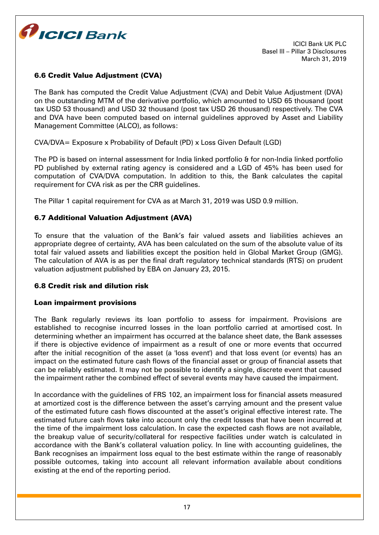

# 6.6 Credit Value Adjustment (CVA)

The Bank has computed the Credit Value Adjustment (CVA) and Debit Value Adjustment (DVA) on the outstanding MTM of the derivative portfolio, which amounted to USD 65 thousand (post tax USD 53 thousand) and USD 32 thousand (post tax USD 26 thousand) respectively. The CVA and DVA have been computed based on internal guidelines approved by Asset and Liability Management Committee (ALCO), as follows:

CVA/DVA= Exposure x Probability of Default (PD) x Loss Given Default (LGD)

The PD is based on internal assessment for India linked portfolio & for non-India linked portfolio PD published by external rating agency is considered and a LGD of 45% has been used for computation of CVA/DVA computation. In addition to this, the Bank calculates the capital requirement for CVA risk as per the CRR guidelines.

The Pillar 1 capital requirement for CVA as at March 31, 2019 was USD 0.9 million.

## 6.7 Additional Valuation Adjustment (AVA)

To ensure that the valuation of the Bank's fair valued assets and liabilities achieves an appropriate degree of certainty, AVA has been calculated on the sum of the absolute value of its total fair valued assets and liabilities except the position held in Global Market Group (GMG). The calculation of AVA is as per the final draft regulatory technical standards (RTS) on prudent valuation adjustment published by EBA on January 23, 2015.

#### 6.8 Credit risk and dilution risk

#### Loan impairment provisions

The Bank regularly reviews its loan portfolio to assess for impairment. Provisions are established to recognise incurred losses in the loan portfolio carried at amortised cost. In determining whether an impairment has occurred at the balance sheet date, the Bank assesses if there is objective evidence of impairment as a result of one or more events that occurred after the initial recognition of the asset (a 'loss event') and that loss event (or events) has an impact on the estimated future cash flows of the financial asset or group of financial assets that can be reliably estimated. It may not be possible to identify a single, discrete event that caused the impairment rather the combined effect of several events may have caused the impairment.

In accordance with the guidelines of FRS 102, an impairment loss for financial assets measured at amortized cost is the difference between the asset's carrying amount and the present value of the estimated future cash flows discounted at the asset's original effective interest rate. The estimated future cash flows take into account only the credit losses that have been incurred at the time of the impairment loss calculation. In case the expected cash flows are not available, the breakup value of security/collateral for respective facilities under watch is calculated in accordance with the Bank's collateral valuation policy. In line with accounting guidelines, the Bank recognises an impairment loss equal to the best estimate within the range of reasonably possible outcomes, taking into account all relevant information available about conditions existing at the end of the reporting period.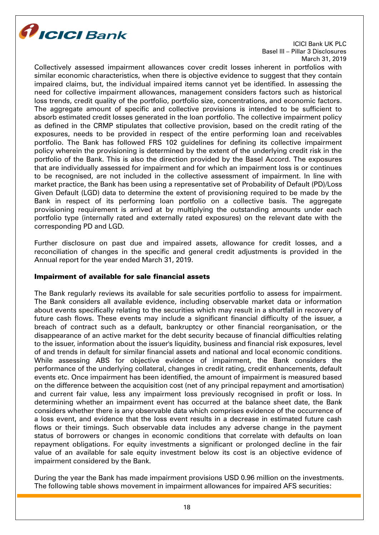

Collectively assessed impairment allowances cover credit losses inherent in portfolios with similar economic characteristics, when there is objective evidence to suggest that they contain impaired claims, but, the individual impaired items cannot yet be identified. In assessing the need for collective impairment allowances, management considers factors such as historical loss trends, credit quality of the portfolio, portfolio size, concentrations, and economic factors. The aggregate amount of specific and collective provisions is intended to be sufficient to absorb estimated credit losses generated in the loan portfolio. The collective impairment policy as defined in the CRMP stipulates that collective provision, based on the credit rating of the exposures, needs to be provided in respect of the entire performing loan and receivables portfolio. The Bank has followed FRS 102 guidelines for defining its collective impairment policy wherein the provisioning is determined by the extent of the underlying credit risk in the portfolio of the Bank. This is also the direction provided by the Basel Accord. The exposures that are individually assessed for impairment and for which an impairment loss is or continues to be recognised, are not included in the collective assessment of impairment. In line with market practice, the Bank has been using a representative set of Probability of Default (PD)/Loss Given Default (LGD) data to determine the extent of provisioning required to be made by the Bank in respect of its performing loan portfolio on a collective basis. The aggregate provisioning requirement is arrived at by multiplying the outstanding amounts under each portfolio type (internally rated and externally rated exposures) on the relevant date with the corresponding PD and LGD.

Further disclosure on past due and impaired assets, allowance for credit losses, and a reconciliation of changes in the specific and general credit adjustments is provided in the Annual report for the year ended March 31, 2019.

## Impairment of available for sale financial assets

The Bank regularly reviews its available for sale securities portfolio to assess for impairment. The Bank considers all available evidence, including observable market data or information about events specifically relating to the securities which may result in a shortfall in recovery of future cash flows. These events may include a significant financial difficulty of the issuer, a breach of contract such as a default, bankruptcy or other financial reorganisation, or the disappearance of an active market for the debt security because of financial difficulties relating to the issuer, information about the issuer's liquidity, business and financial risk exposures, level of and trends in default for similar financial assets and national and local economic conditions. While assessing ABS for objective evidence of impairment, the Bank considers the performance of the underlying collateral, changes in credit rating, credit enhancements, default events etc. Once impairment has been identified, the amount of impairment is measured based on the difference between the acquisition cost (net of any principal repayment and amortisation) and current fair value, less any impairment loss previously recognised in profit or loss. In determining whether an impairment event has occurred at the balance sheet date, the Bank considers whether there is any observable data which comprises evidence of the occurrence of a loss event, and evidence that the loss event results in a decrease in estimated future cash flows or their timings. Such observable data includes any adverse change in the payment status of borrowers or changes in economic conditions that correlate with defaults on loan repayment obligations. For equity investments a significant or prolonged decline in the fair value of an available for sale equity investment below its cost is an objective evidence of impairment considered by the Bank.

During the year the Bank has made impairment provisions USD 0.96 million on the investments. The following table shows movement in impairment allowances for impaired AFS securities: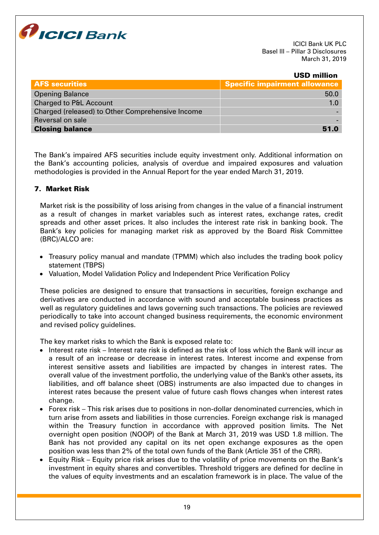

#### USD million

| <b>AFS</b> securities                            | Specific impairment allowance |
|--------------------------------------------------|-------------------------------|
| <b>Opening Balance</b>                           | 50.0                          |
| Charged to P&L Account                           | 1.0                           |
| Charged (released) to Other Comprehensive Income |                               |
| Reversal on sale                                 |                               |
| <b>Closing balance</b>                           | 51.0                          |

The Bank's impaired AFS securities include equity investment only. Additional information on the Bank's accounting policies, analysis of overdue and impaired exposures and valuation methodologies is provided in the Annual Report for the year ended March 31, 2019.

## 7. Market Risk

Market risk is the possibility of loss arising from changes in the value of a financial instrument as a result of changes in market variables such as interest rates, exchange rates, credit spreads and other asset prices. It also includes the interest rate risk in banking book. The Bank's key policies for managing market risk as approved by the Board Risk Committee (BRC)/ALCO are:

- Treasury policy manual and mandate (TPMM) which also includes the trading book policy statement (TBPS)
- Valuation, Model Validation Policy and Independent Price Verification Policy

These policies are designed to ensure that transactions in securities, foreign exchange and derivatives are conducted in accordance with sound and acceptable business practices as well as regulatory guidelines and laws governing such transactions. The policies are reviewed periodically to take into account changed business requirements, the economic environment and revised policy guidelines.

The key market risks to which the Bank is exposed relate to:

- Interest rate risk Interest rate risk is defined as the risk of loss which the Bank will incur as a result of an increase or decrease in interest rates. Interest income and expense from interest sensitive assets and liabilities are impacted by changes in interest rates. The overall value of the investment portfolio, the underlying value of the Bank's other assets, its liabilities, and off balance sheet (OBS) instruments are also impacted due to changes in interest rates because the present value of future cash flows changes when interest rates change.
- Forex risk This risk arises due to positions in non-dollar denominated currencies, which in turn arise from assets and liabilities in those currencies. Foreign exchange risk is managed within the Treasury function in accordance with approved position limits. The Net overnight open position (NOOP) of the Bank at March 31, 2019 was USD 1.8 million. The Bank has not provided any capital on its net open exchange exposures as the open position was less than 2% of the total own funds of the Bank (Article 351 of the CRR).
- Equity Risk Equity price risk arises due to the volatility of price movements on the Bank's investment in equity shares and convertibles. Threshold triggers are defined for decline in the values of equity investments and an escalation framework is in place. The value of the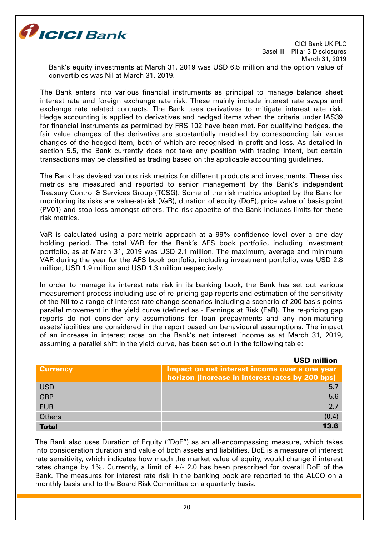

Bank's equity investments at March 31, 2019 was USD 6.5 million and the option value of convertibles was Nil at March 31, 2019.

The Bank enters into various financial instruments as principal to manage balance sheet interest rate and foreign exchange rate risk. These mainly include interest rate swaps and exchange rate related contracts. The Bank uses derivatives to mitigate interest rate risk. Hedge accounting is applied to derivatives and hedged items when the criteria under IAS39 for financial instruments as permitted by FRS 102 have been met. For qualifying hedges, the fair value changes of the derivative are substantially matched by corresponding fair value changes of the hedged item, both of which are recognised in profit and loss. As detailed in section 5.5, the Bank currently does not take any position with trading intent, but certain transactions may be classified as trading based on the applicable accounting guidelines.

The Bank has devised various risk metrics for different products and investments. These risk metrics are measured and reported to senior management by the Bank's independent Treasury Control & Services Group (TCSG). Some of the risk metrics adopted by the Bank for monitoring its risks are value-at-risk (VaR), duration of equity (DoE), price value of basis point (PV01) and stop loss amongst others. The risk appetite of the Bank includes limits for these risk metrics.

VaR is calculated using a parametric approach at a 99% confidence level over a one day holding period. The total VAR for the Bank's AFS book portfolio, including investment portfolio, as at March 31, 2019 was USD 2.1 million. The maximum, average and minimum VAR during the year for the AFS book portfolio, including investment portfolio, was USD 2.8 million, USD 1.9 million and USD 1.3 million respectively.

In order to manage its interest rate risk in its banking book, the Bank has set out various measurement process including use of re-pricing gap reports and estimation of the sensitivity of the NII to a range of interest rate change scenarios including a scenario of 200 basis points parallel movement in the yield curve (defined as - Earnings at Risk (EaR). The re-pricing gap reports do not consider any assumptions for loan prepayments and any non-maturing assets/liabilities are considered in the report based on behavioural assumptions. The impact of an increase in interest rates on the Bank's net interest income as at March 31, 2019, assuming a parallel shift in the yield curve, has been set out in the following table:

|                 | <b>USD million</b>                                                                               |
|-----------------|--------------------------------------------------------------------------------------------------|
| <b>Currency</b> | Impact on net interest income over a one year<br>horizon (Increase in interest rates by 200 bps) |
| <b>USD</b>      | 5.7                                                                                              |
| <b>GBP</b>      | 5.6                                                                                              |
| <b>EUR</b>      | 2.7                                                                                              |
| <b>Others</b>   | (0.4)                                                                                            |
| <b>Total</b>    | 13.6                                                                                             |

The Bank also uses Duration of Equity ("DoE") as an all-encompassing measure, which takes into consideration duration and value of both assets and liabilities. DoE is a measure of interest rate sensitivity, which indicates how much the market value of equity, would change if interest rates change by 1%. Currently, a limit of  $+/-$  2.0 has been prescribed for overall DoE of the Bank. The measures for interest rate risk in the banking book are reported to the ALCO on a monthly basis and to the Board Risk Committee on a quarterly basis.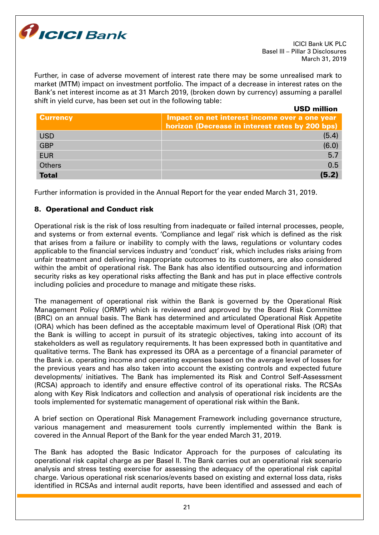

Further, in case of adverse movement of interest rate there may be some unrealised mark to market (MTM) impact on investment portfolio. The impact of a decrease in interest rates on the Bank's net interest income as at 31 March 2019, (broken down by currency) assuming a parallel shift in yield curve, has been set out in the following table:

USD million

| <b>Currency</b> | Impact on net interest income over a one year<br>horizon (Decrease in interest rates by 200 bps) |
|-----------------|--------------------------------------------------------------------------------------------------|
| <b>USD</b>      | (5.4)                                                                                            |
| <b>GBP</b>      | (6.0)                                                                                            |
| <b>EUR</b>      | 5.7                                                                                              |
| <b>Others</b>   | 0.5                                                                                              |
| <b>Total</b>    | (5.2)                                                                                            |

Further information is provided in the Annual Report for the year ended March 31, 2019.

# 8. Operational and Conduct risk

Operational risk is the risk of loss resulting from inadequate or failed internal processes, people, and systems or from external events. 'Compliance and legal' risk which is defined as the risk that arises from a failure or inability to comply with the laws, regulations or voluntary codes applicable to the financial services industry and 'conduct' risk, which includes risks arising from unfair treatment and delivering inappropriate outcomes to its customers, are also considered within the ambit of operational risk. The Bank has also identified outsourcing and information security risks as key operational risks affecting the Bank and has put in place effective controls including policies and procedure to manage and mitigate these risks.

The management of operational risk within the Bank is governed by the Operational Risk Management Policy (ORMP) which is reviewed and approved by the Board Risk Committee (BRC) on an annual basis. The Bank has determined and articulated Operational Risk Appetite (ORA) which has been defined as the acceptable maximum level of Operational Risk (OR) that the Bank is willing to accept in pursuit of its strategic objectives, taking into account of its stakeholders as well as regulatory requirements. It has been expressed both in quantitative and qualitative terms. The Bank has expressed its ORA as a percentage of a financial parameter of the Bank i.e. operating income and operating expenses based on the average level of losses for the previous years and has also taken into account the existing controls and expected future developments/ initiatives. The Bank has implemented its Risk and Control Self-Assessment (RCSA) approach to identify and ensure effective control of its operational risks. The RCSAs along with Key Risk Indicators and collection and analysis of operational risk incidents are the tools implemented for systematic management of operational risk within the Bank.

A brief section on Operational Risk Management Framework including governance structure, various management and measurement tools currently implemented within the Bank is covered in the Annual Report of the Bank for the year ended March 31, 2019.

The Bank has adopted the Basic Indicator Approach for the purposes of calculating its operational risk capital charge as per Basel II. The Bank carries out an operational risk scenario analysis and stress testing exercise for assessing the adequacy of the operational risk capital charge. Various operational risk scenarios/events based on existing and external loss data, risks identified in RCSAs and internal audit reports, have been identified and assessed and each of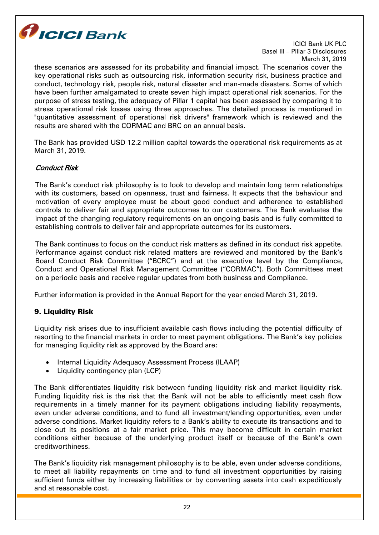

these scenarios are assessed for its probability and financial impact. The scenarios cover the key operational risks such as outsourcing risk, information security risk, business practice and conduct, technology risk, people risk, natural disaster and man-made disasters. Some of which have been further amalgamated to create seven high impact operational risk scenarios. For the purpose of stress testing, the adequacy of Pillar 1 capital has been assessed by comparing it to stress operational risk losses using three approaches. The detailed process is mentioned in "quantitative assessment of operational risk drivers" framework which is reviewed and the results are shared with the CORMAC and BRC on an annual basis.

The Bank has provided USD 12.2 million capital towards the operational risk requirements as at March 31, 2019.

# Conduct Risk

The Bank's conduct risk philosophy is to look to develop and maintain long term relationships with its customers, based on openness, trust and fairness. It expects that the behaviour and motivation of every employee must be about good conduct and adherence to established controls to deliver fair and appropriate outcomes to our customers. The Bank evaluates the impact of the changing regulatory requirements on an ongoing basis and is fully committed to establishing controls to deliver fair and appropriate outcomes for its customers.

The Bank continues to focus on the conduct risk matters as defined in its conduct risk appetite. Performance against conduct risk related matters are reviewed and monitored by the Bank's Board Conduct Risk Committee ("BCRC") and at the executive level by the Compliance, Conduct and Operational Risk Management Committee ("CORMAC"). Both Committees meet on a periodic basis and receive regular updates from both business and Compliance.

Further information is provided in the Annual Report for the year ended March 31, 2019.

## 9. Liquidity Risk

Liquidity risk arises due to insufficient available cash flows including the potential difficulty of resorting to the financial markets in order to meet payment obligations. The Bank's key policies for managing liquidity risk as approved by the Board are:

- Internal Liquidity Adequacy Assessment Process (ILAAP)
- Liquidity contingency plan (LCP)

The Bank differentiates liquidity risk between funding liquidity risk and market liquidity risk. Funding liquidity risk is the risk that the Bank will not be able to efficiently meet cash flow requirements in a timely manner for its payment obligations including liability repayments, even under adverse conditions, and to fund all investment/lending opportunities, even under adverse conditions. Market liquidity refers to a Bank's ability to execute its transactions and to close out its positions at a fair market price. This may become difficult in certain market conditions either because of the underlying product itself or because of the Bank's own creditworthiness.

The Bank's liquidity risk management philosophy is to be able, even under adverse conditions, to meet all liability repayments on time and to fund all investment opportunities by raising sufficient funds either by increasing liabilities or by converting assets into cash expeditiously and at reasonable cost.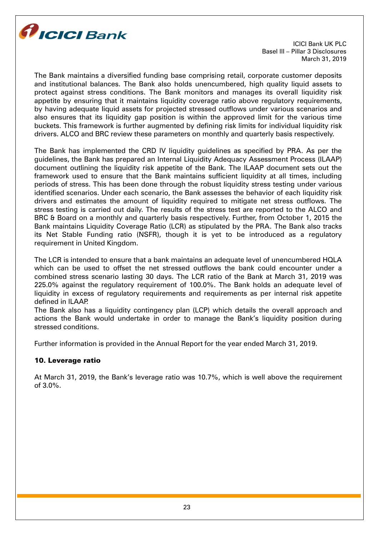

The Bank maintains a diversified funding base comprising retail, corporate customer deposits and institutional balances. The Bank also holds unencumbered, high quality liquid assets to protect against stress conditions. The Bank monitors and manages its overall liquidity risk appetite by ensuring that it maintains liquidity coverage ratio above regulatory requirements, by having adequate liquid assets for projected stressed outflows under various scenarios and also ensures that its liquidity gap position is within the approved limit for the various time buckets. This framework is further augmented by defining risk limits for individual liquidity risk drivers. ALCO and BRC review these parameters on monthly and quarterly basis respectively.

The Bank has implemented the CRD IV liquidity guidelines as specified by PRA. As per the guidelines, the Bank has prepared an Internal Liquidity Adequacy Assessment Process (ILAAP) document outlining the liquidity risk appetite of the Bank. The ILAAP document sets out the framework used to ensure that the Bank maintains sufficient liquidity at all times, including periods of stress. This has been done through the robust liquidity stress testing under various identified scenarios. Under each scenario, the Bank assesses the behavior of each liquidity risk drivers and estimates the amount of liquidity required to mitigate net stress outflows. The stress testing is carried out daily. The results of the stress test are reported to the ALCO and BRC & Board on a monthly and quarterly basis respectively. Further, from October 1, 2015 the Bank maintains Liquidity Coverage Ratio (LCR) as stipulated by the PRA. The Bank also tracks its Net Stable Funding ratio (NSFR), though it is yet to be introduced as a regulatory requirement in United Kingdom.

The LCR is intended to ensure that a bank maintains an adequate level of unencumbered HQLA which can be used to offset the net stressed outflows the bank could encounter under a combined stress scenario lasting 30 days. The LCR ratio of the Bank at March 31, 2019 was 225.0% against the regulatory requirement of 100.0%. The Bank holds an adequate level of liquidity in excess of regulatory requirements and requirements as per internal risk appetite defined in ILAAP.

The Bank also has a liquidity contingency plan (LCP) which details the overall approach and actions the Bank would undertake in order to manage the Bank's liquidity position during stressed conditions.

Further information is provided in the Annual Report for the year ended March 31, 2019.

## 10. Leverage ratio

At March 31, 2019, the Bank's leverage ratio was 10.7%, which is well above the requirement of 3.0%.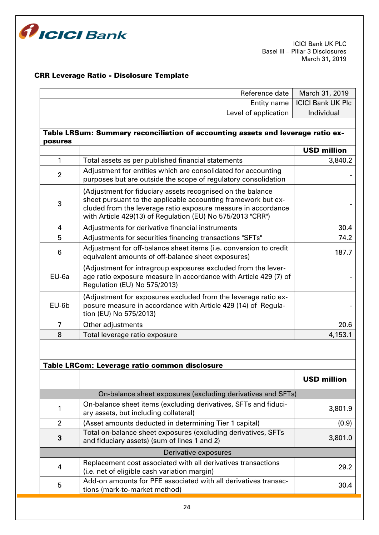

# CRR Leverage Ratio - Disclosure Template

| Reference date |                                                                                                                                                                                                                                                            | March 31, 2019           |
|----------------|------------------------------------------------------------------------------------------------------------------------------------------------------------------------------------------------------------------------------------------------------------|--------------------------|
| Entity name    |                                                                                                                                                                                                                                                            | <b>ICICI Bank UK Plc</b> |
|                | Level of application                                                                                                                                                                                                                                       | Individual               |
|                |                                                                                                                                                                                                                                                            |                          |
| posures        | Table LRSum: Summary reconciliation of accounting assets and leverage ratio ex-                                                                                                                                                                            |                          |
|                |                                                                                                                                                                                                                                                            | <b>USD million</b>       |
| 1              | Total assets as per published financial statements                                                                                                                                                                                                         | 3,840.2                  |
| $\overline{2}$ | Adjustment for entities which are consolidated for accounting<br>purposes but are outside the scope of regulatory consolidation                                                                                                                            |                          |
| 3              | (Adjustment for fiduciary assets recognised on the balance<br>sheet pursuant to the applicable accounting framework but ex-<br>cluded from the leverage ratio exposure measure in accordance<br>with Article 429(13) of Regulation (EU) No 575/2013 "CRR") |                          |
| 4              | Adjustments for derivative financial instruments                                                                                                                                                                                                           | 30.4                     |
| 5              | Adjustments for securities financing transactions "SFTs"                                                                                                                                                                                                   | 74.2                     |
| 6              | Adjustment for off-balance sheet items (i.e. conversion to credit<br>equivalent amounts of off-balance sheet exposures)                                                                                                                                    | 187.7                    |
| EU-6a          | (Adjustment for intragroup exposures excluded from the lever-<br>age ratio exposure measure in accordance with Article 429 (7) of<br>Regulation (EU) No 575/2013)                                                                                          |                          |
| EU-6b          | (Adjustment for exposures excluded from the leverage ratio ex-<br>posure measure in accordance with Article 429 (14) of Regula-<br>tion (EU) No 575/2013)                                                                                                  |                          |
| $\overline{7}$ | Other adjustments                                                                                                                                                                                                                                          | 20.6                     |
| 8              | Total leverage ratio exposure                                                                                                                                                                                                                              | 4,153.1                  |
|                | Table LRCom: Leverage ratio common disclosure                                                                                                                                                                                                              |                          |
|                |                                                                                                                                                                                                                                                            | <b>USD million</b>       |
|                | On-balance sheet exposures (excluding derivatives and SFTs)                                                                                                                                                                                                |                          |
| 1              | On-balance sheet items (excluding derivatives, SFTs and fiduci-<br>ary assets, but including collateral)                                                                                                                                                   | 3,801.9                  |
| $\overline{2}$ | (Asset amounts deducted in determining Tier 1 capital)                                                                                                                                                                                                     | (0.9)                    |
| 3              | Total on-balance sheet exposures (excluding derivatives, SFTs<br>and fiduciary assets) (sum of lines 1 and 2)                                                                                                                                              | 3,801.0                  |
|                | Derivative exposures                                                                                                                                                                                                                                       |                          |
| 4              | Replacement cost associated with all derivatives transactions<br>(i.e. net of eligible cash variation margin)                                                                                                                                              | 29.2                     |
| 5              | Add-on amounts for PFE associated with all derivatives transac-<br>tions (mark-to-market method)                                                                                                                                                           | 30.4                     |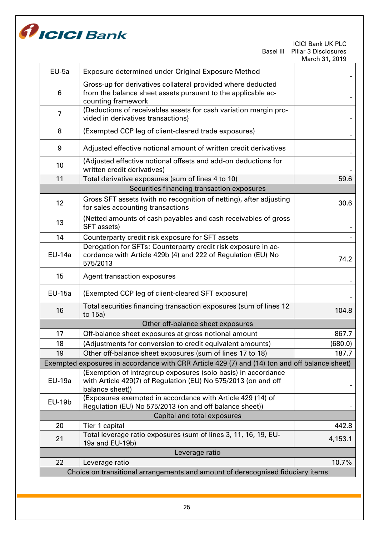

| $EU-5a$                                                                        | Exposure determined under Original Exposure Method                                                                                                 |         |  |
|--------------------------------------------------------------------------------|----------------------------------------------------------------------------------------------------------------------------------------------------|---------|--|
| 6                                                                              | Gross-up for derivatives collateral provided where deducted<br>from the balance sheet assets pursuant to the applicable ac-<br>counting framework  |         |  |
| $\overline{7}$                                                                 | (Deductions of receivables assets for cash variation margin pro-<br>vided in derivatives transactions)                                             |         |  |
| 8                                                                              | (Exempted CCP leg of client-cleared trade exposures)                                                                                               |         |  |
| 9                                                                              | Adjusted effective notional amount of written credit derivatives                                                                                   |         |  |
| 10                                                                             | (Adjusted effective notional offsets and add-on deductions for<br>written credit derivatives)                                                      |         |  |
| 11                                                                             | Total derivative exposures (sum of lines 4 to 10)                                                                                                  | 59.6    |  |
|                                                                                | Securities financing transaction exposures                                                                                                         |         |  |
| 12                                                                             | Gross SFT assets (with no recognition of netting), after adjusting<br>for sales accounting transactions                                            | 30.6    |  |
| 13                                                                             | (Netted amounts of cash payables and cash receivables of gross<br>SFT assets)                                                                      |         |  |
| 14                                                                             | Counterparty credit risk exposure for SFT assets                                                                                                   |         |  |
| <b>EU-14a</b>                                                                  | Derogation for SFTs: Counterparty credit risk exposure in ac-<br>cordance with Article 429b (4) and 222 of Regulation (EU) No<br>575/2013          | 74.2    |  |
| 15                                                                             | Agent transaction exposures                                                                                                                        |         |  |
| <b>EU-15a</b>                                                                  | (Exempted CCP leg of client-cleared SFT exposure)                                                                                                  |         |  |
| 16                                                                             | Total securities financing transaction exposures (sum of lines 12<br>to 15a)                                                                       | 104.8   |  |
|                                                                                | Other off-balance sheet exposures                                                                                                                  |         |  |
| 17                                                                             | Off-balance sheet exposures at gross notional amount                                                                                               | 867.7   |  |
| 18                                                                             | (Adjustments for conversion to credit equivalent amounts)                                                                                          | (680.0) |  |
| 19                                                                             | Other off-balance sheet exposures (sum of lines 17 to 18)                                                                                          | 187.7   |  |
|                                                                                | Exempted exposures in accordance with CRR Article 429 (7) and (14) (on and off balance sheet)                                                      |         |  |
| <b>EU-19a</b>                                                                  | (Exemption of intragroup exposures (solo basis) in accordance<br>with Article 429(7) of Regulation (EU) No 575/2013 (on and off<br>balance sheet)) |         |  |
| <b>EU-19b</b>                                                                  | (Exposures exempted in accordance with Article 429 (14) of<br>Regulation (EU) No 575/2013 (on and off balance sheet))                              |         |  |
|                                                                                | Capital and total exposures                                                                                                                        |         |  |
| 20                                                                             | Tier 1 capital                                                                                                                                     | 442.8   |  |
| 21                                                                             | Total leverage ratio exposures (sum of lines 3, 11, 16, 19, EU-<br>19a and EU-19b)                                                                 | 4,153.1 |  |
| Leverage ratio                                                                 |                                                                                                                                                    |         |  |
| 22                                                                             | Leverage ratio                                                                                                                                     | 10.7%   |  |
| Choice on transitional arrangements and amount of derecognised fiduciary items |                                                                                                                                                    |         |  |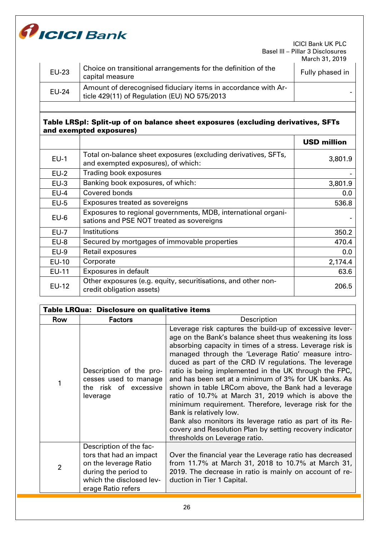

| <b>EU-23</b> | Choice on transitional arrangements for the definition of the<br>capital measure                              | 11111111111111121121111<br>Fully phased in |
|--------------|---------------------------------------------------------------------------------------------------------------|--------------------------------------------|
| <b>EU-24</b> | Amount of derecognised fiduciary items in accordance with Ar-<br>ticle 429(11) of Regulation (EU) NO 575/2013 |                                            |
|              |                                                                                                               |                                            |

# Table LRSpl: Split-up of on balance sheet exposures (excluding derivatives, SFTs and exempted exposures)

|              |                                                                                                            | <b>USD million</b> |
|--------------|------------------------------------------------------------------------------------------------------------|--------------------|
| $EU-1$       | Total on-balance sheet exposures (excluding derivatives, SFTs,<br>and exempted exposures), of which:       | 3,801.9            |
| $EU-2$       | Trading book exposures                                                                                     |                    |
| $EU-3$       | Banking book exposures, of which:                                                                          | 3,801.9            |
| $EU-4$       | Covered bonds                                                                                              | 0.0                |
| $EU-5$       | Exposures treated as sovereigns                                                                            | 536.8              |
| $EU-6$       | Exposures to regional governments, MDB, international organi-<br>sations and PSE NOT treated as sovereigns |                    |
| $EU-7$       | Institutions                                                                                               | 350.2              |
| $EU-8$       | Secured by mortgages of immovable properties                                                               | 470.4              |
| $EU-9$       | Retail exposures                                                                                           | 0.0                |
| <b>EU-10</b> | Corporate                                                                                                  | 2,174.4            |
| <b>EU-11</b> | Exposures in default                                                                                       | 63.6               |
| <b>EU-12</b> | Other exposures (e.g. equity, securitisations, and other non-<br>credit obligation assets)                 | 206.5              |

| Table LRQua: Disclosure on qualitative items |                                                                                                                                                       |                                                                                                                                                                                                                                                                                                                                                                                                                                                                                                                                                                                                                                                                                                                                                                             |  |  |
|----------------------------------------------|-------------------------------------------------------------------------------------------------------------------------------------------------------|-----------------------------------------------------------------------------------------------------------------------------------------------------------------------------------------------------------------------------------------------------------------------------------------------------------------------------------------------------------------------------------------------------------------------------------------------------------------------------------------------------------------------------------------------------------------------------------------------------------------------------------------------------------------------------------------------------------------------------------------------------------------------------|--|--|
| Row                                          | <b>Factors</b>                                                                                                                                        | Description                                                                                                                                                                                                                                                                                                                                                                                                                                                                                                                                                                                                                                                                                                                                                                 |  |  |
|                                              | Description of the pro-<br>cesses used to manage<br>the risk of excessive<br>leverage                                                                 | Leverage risk captures the build-up of excessive lever-<br>age on the Bank's balance sheet thus weakening its loss<br>absorbing capacity in times of a stress. Leverage risk is<br>managed through the 'Leverage Ratio' measure intro-<br>duced as part of the CRD IV regulations. The leverage<br>ratio is being implemented in the UK through the FPC,<br>and has been set at a minimum of 3% for UK banks. As<br>shown in table LRCom above, the Bank had a leverage<br>ratio of 10.7% at March 31, 2019 which is above the<br>minimum requirement. Therefore, leverage risk for the<br>Bank is relatively low.<br>Bank also monitors its leverage ratio as part of its Re-<br>covery and Resolution Plan by setting recovery indicator<br>thresholds on Leverage ratio. |  |  |
| $\overline{2}$                               | Description of the fac-<br>tors that had an impact<br>on the leverage Ratio<br>during the period to<br>which the disclosed lev-<br>erage Ratio refers | Over the financial year the Leverage ratio has decreased<br>from 11.7% at March 31, 2018 to 10.7% at March 31,<br>2019. The decrease in ratio is mainly on account of re-<br>duction in Tier 1 Capital.                                                                                                                                                                                                                                                                                                                                                                                                                                                                                                                                                                     |  |  |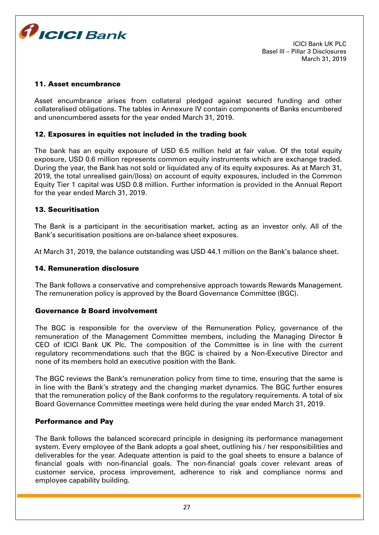

#### 11. Asset encumbrance

Asset encumbrance arises from collateral pledged against secured funding and other collateralised obligations. The tables in Annexure IV contain components of Banks encumbered and unencumbered assets for the year ended March 31, 2019.

#### 12. Exposures in equities not included in the trading book

The bank has an equity exposure of USD 6.5 million held at fair value. Of the total equity exposure, USD 0.6 million represents common equity instruments which are exchange traded. During the year, the Bank has not sold or liquidated any of its equity exposures. As at March 31, 2019, the total unrealised gain/(loss) on account of equity exposures, included in the Common Equity Tier 1 capital was USD 0.8 million. Further information is provided in the Annual Report for the year ended March 31, 2019.

#### 13. Securitisation

The Bank is a participant in the securitisation market, acting as an investor only. All of the Bank's securitisation positions are on-balance sheet exposures.

At March 31, 2019, the balance outstanding was USD 44.1 million on the Bank's balance sheet.

#### 14. Remuneration disclosure

The Bank follows a conservative and comprehensive approach towards Rewards Management. The remuneration policy is approved by the Board Governance Committee (BGC).

#### Governance & Board involvement

The BGC is responsible for the overview of the Remuneration Policy, governance of the remuneration of the Management Committee members, including the Managing Director & CEO of ICICI Bank UK Plc. The composition of the Committee is in line with the current regulatory recommendations such that the BGC is chaired by a Non-Executive Director and none of its members hold an executive position with the Bank.

The BGC reviews the Bank's remuneration policy from time to time, ensuring that the same is in line with the Bank's strategy and the changing market dynamics. The BGC further ensures that the remuneration policy of the Bank conforms to the regulatory requirements. A total of six Board Governance Committee meetings were held during the year ended March 31, 2019.

#### Performance and Pay

The Bank follows the balanced scorecard principle in designing its performance management system. Every employee of the Bank adopts a goal sheet, outlining his / her responsibilities and deliverables for the year. Adequate attention is paid to the goal sheets to ensure a balance of financial goals with non-financial goals. The non-financial goals cover relevant areas of customer service, process improvement, adherence to risk and compliance norms and employee capability building.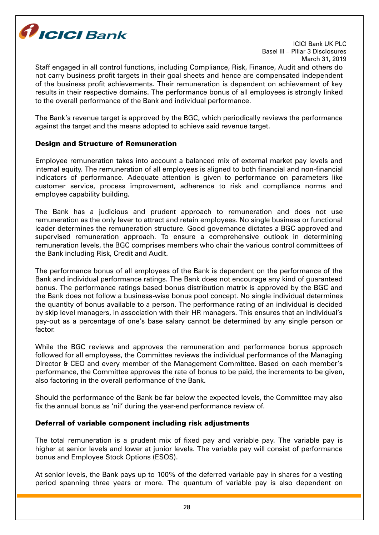

Staff engaged in all control functions, including Compliance, Risk, Finance, Audit and others do not carry business profit targets in their goal sheets and hence are compensated independent of the business profit achievements. Their remuneration is dependent on achievement of key results in their respective domains. The performance bonus of all employees is strongly linked to the overall performance of the Bank and individual performance.

The Bank's revenue target is approved by the BGC, which periodically reviews the performance against the target and the means adopted to achieve said revenue target.

# Design and Structure of Remuneration

Employee remuneration takes into account a balanced mix of external market pay levels and internal equity. The remuneration of all employees is aligned to both financial and non-financial indicators of performance. Adequate attention is given to performance on parameters like customer service, process improvement, adherence to risk and compliance norms and employee capability building.

The Bank has a judicious and prudent approach to remuneration and does not use remuneration as the only lever to attract and retain employees. No single business or functional leader determines the remuneration structure. Good governance dictates a BGC approved and supervised remuneration approach. To ensure a comprehensive outlook in determining remuneration levels, the BGC comprises members who chair the various control committees of the Bank including Risk, Credit and Audit.

The performance bonus of all employees of the Bank is dependent on the performance of the Bank and individual performance ratings. The Bank does not encourage any kind of guaranteed bonus. The performance ratings based bonus distribution matrix is approved by the BGC and the Bank does not follow a business-wise bonus pool concept. No single individual determines the quantity of bonus available to a person. The performance rating of an individual is decided by skip level managers, in association with their HR managers. This ensures that an individual's pay-out as a percentage of one's base salary cannot be determined by any single person or factor.

While the BGC reviews and approves the remuneration and performance bonus approach followed for all employees, the Committee reviews the individual performance of the Managing Director & CEO and every member of the Management Committee. Based on each member's performance, the Committee approves the rate of bonus to be paid, the increments to be given, also factoring in the overall performance of the Bank.

Should the performance of the Bank be far below the expected levels, the Committee may also fix the annual bonus as 'nil' during the year-end performance review of.

## Deferral of variable component including risk adjustments

The total remuneration is a prudent mix of fixed pay and variable pay. The variable pay is higher at senior levels and lower at junior levels. The variable pay will consist of performance bonus and Employee Stock Options (ESOS).

At senior levels, the Bank pays up to 100% of the deferred variable pay in shares for a vesting period spanning three years or more. The quantum of variable pay is also dependent on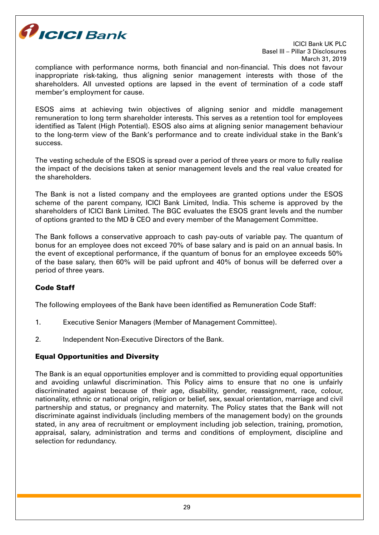

compliance with performance norms, both financial and non-financial. This does not favour inappropriate risk-taking, thus aligning senior management interests with those of the shareholders. All unvested options are lapsed in the event of termination of a code staff member's employment for cause.

ESOS aims at achieving twin objectives of aligning senior and middle management remuneration to long term shareholder interests. This serves as a retention tool for employees identified as Talent (High Potential). ESOS also aims at aligning senior management behaviour to the long-term view of the Bank's performance and to create individual stake in the Bank's success.

The vesting schedule of the ESOS is spread over a period of three years or more to fully realise the impact of the decisions taken at senior management levels and the real value created for the shareholders.

The Bank is not a listed company and the employees are granted options under the ESOS scheme of the parent company, ICICI Bank Limited, India. This scheme is approved by the shareholders of ICICI Bank Limited. The BGC evaluates the ESOS grant levels and the number of options granted to the MD & CEO and every member of the Management Committee.

The Bank follows a conservative approach to cash pay-outs of variable pay. The quantum of bonus for an employee does not exceed 70% of base salary and is paid on an annual basis. In the event of exceptional performance, if the quantum of bonus for an employee exceeds 50% of the base salary, then 60% will be paid upfront and 40% of bonus will be deferred over a period of three years.

# Code Staff

The following employees of the Bank have been identified as Remuneration Code Staff:

- 1. Executive Senior Managers (Member of Management Committee).
- 2. Independent Non-Executive Directors of the Bank.

# Equal Opportunities and Diversity

The Bank is an equal opportunities employer and is committed to providing equal opportunities and avoiding unlawful discrimination. This Policy aims to ensure that no one is unfairly discriminated against because of their age, disability, gender, reassignment, race, colour, nationality, ethnic or national origin, religion or belief, sex, sexual orientation, marriage and civil partnership and status, or pregnancy and maternity. The Policy states that the Bank will not discriminate against individuals (including members of the management body) on the grounds stated, in any area of recruitment or employment including job selection, training, promotion, appraisal, salary, administration and terms and conditions of employment, discipline and selection for redundancy.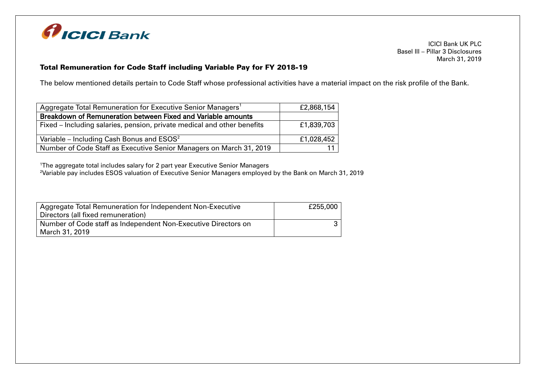

# Total Remuneration for Code Staff including Variable Pay for FY 2018-19

The below mentioned details pertain to Code Staff whose professional activities have a material impact on the risk profile of the Bank.

| Aggregate Total Remuneration for Executive Senior Managers <sup>1</sup> | £2,868,154 |
|-------------------------------------------------------------------------|------------|
| Breakdown of Remuneration between Fixed and Variable amounts            |            |
| Fixed – Including salaries, pension, private medical and other benefits | £1,839,703 |
| Variable – Including Cash Bonus and $ESOS2$                             | £1,028,452 |
| Number of Code Staff as Executive Senior Managers on March 31, 2019     |            |

<sup>1</sup>The aggregate total includes salary for 2 part year Executive Senior Managers

<sup>2</sup>Variable pay includes ESOS valuation of Executive Senior Managers employed by the Bank on March 31, 2019

| Aggregate Total Remuneration for Independent Non-Executive     | £255,000 |
|----------------------------------------------------------------|----------|
| Directors (all fixed remuneration)                             |          |
| Number of Code staff as Independent Non-Executive Directors on |          |
| March 31, 2019                                                 |          |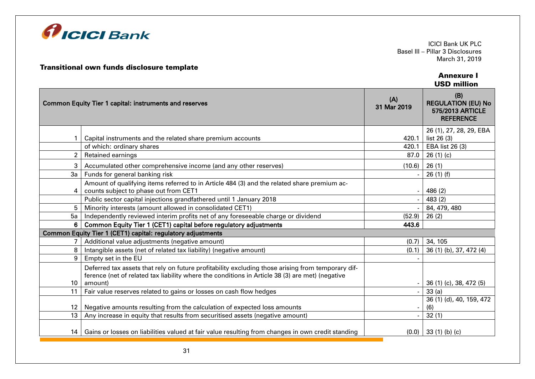

#### Transitional own funds disclosure template

#### Annexure I USD million

|                  | <b>Common Equity Tier 1 capital: instruments and reserves</b>                                                                                                                                        | (A)<br>31 Mar 2019 | (B)<br><b>REGULATION (EU) No</b><br>575/2013 ARTICLE<br><b>REFERENCE</b> |
|------------------|------------------------------------------------------------------------------------------------------------------------------------------------------------------------------------------------------|--------------------|--------------------------------------------------------------------------|
|                  | Capital instruments and the related share premium accounts                                                                                                                                           | 420.1              | 26 (1), 27, 28, 29, EBA<br>list 26 (3)                                   |
|                  | of which: ordinary shares                                                                                                                                                                            | 420.1              | EBA list 26 (3)                                                          |
|                  | Retained earnings                                                                                                                                                                                    | 87.0               | 26(1)(c)                                                                 |
| 3                | Accumulated other comprehensive income (and any other reserves)                                                                                                                                      | (10.6)             | 26(1)                                                                    |
| 3a               | Funds for general banking risk                                                                                                                                                                       |                    | 26(1)(f)                                                                 |
| 4                | Amount of qualifying items referred to in Article 484 (3) and the related share premium ac-<br>counts subject to phase out from CET1                                                                 |                    | 486 (2)                                                                  |
|                  | Public sector capital injections grandfathered until 1 January 2018                                                                                                                                  |                    | 483(2)                                                                   |
| 5                | Minority interests (amount allowed in consolidated CET1)                                                                                                                                             |                    | 84, 479, 480                                                             |
| 5a               | Independently reviewed interim profits net of any foreseeable charge or dividend                                                                                                                     | (52.9)             | 26(2)                                                                    |
| 6                | Common Equity Tier 1 (CET1) capital before regulatory adjustments                                                                                                                                    | 443.6              |                                                                          |
|                  | Common Equity Tier 1 (CET1) capital: regulatory adjustments                                                                                                                                          |                    |                                                                          |
|                  | Additional value adjustments (negative amount)                                                                                                                                                       | (0.7)              | 34, 105                                                                  |
| 8                | Intangible assets (net of related tax liability) (negative amount)                                                                                                                                   | (0.1)              | 36 (1) (b), 37, 472 (4)                                                  |
| 9                | Empty set in the EU                                                                                                                                                                                  |                    |                                                                          |
|                  | Deferred tax assets that rely on future profitability excluding those arising from temporary dif-<br>ference (net of related tax liability where the conditions in Article 38 (3) are met) (negative |                    |                                                                          |
| 10               | amount)                                                                                                                                                                                              |                    | 36 (1) (c), 38, 472 (5)                                                  |
| 11               | Fair value reserves related to gains or losses on cash flow hedges                                                                                                                                   |                    | 33(a)                                                                    |
| 12 <sup>12</sup> | Negative amounts resulting from the calculation of expected loss amounts                                                                                                                             |                    | 36 (1) (d), 40, 159, 472<br>(6)                                          |
| 13 <sup>13</sup> | Any increase in equity that results from securitised assets (negative amount)                                                                                                                        |                    | 32(1)                                                                    |
| 14 I             | Gains or losses on liabilities valued at fair value resulting from changes in own credit standing                                                                                                    |                    | $(0.0)$ 33 (1) (b) (c)                                                   |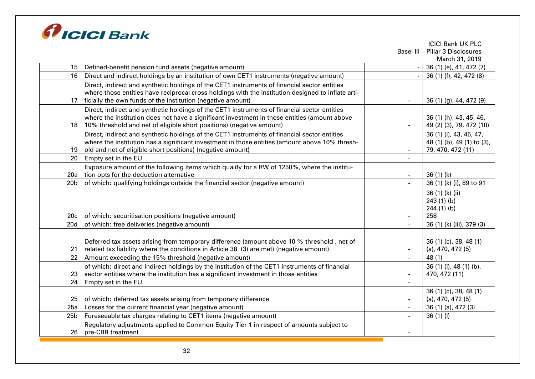

|                 |                                                                                                    |                          | <b>ICICI Bank UK PLC</b>         |
|-----------------|----------------------------------------------------------------------------------------------------|--------------------------|----------------------------------|
|                 |                                                                                                    |                          | Basel III - Pillar 3 Disclosures |
|                 |                                                                                                    |                          | March 31, 2019                   |
| 15 I            | Defined-benefit pension fund assets (negative amount)                                              |                          | 36 (1) (e), 41, 472 (7)          |
| 16 <sup>1</sup> | Direct and indirect holdings by an institution of own CET1 instruments (negative amount)           |                          | 36 (1) (f), 42, 472 (8)          |
|                 | Direct, indirect and synthetic holdings of the CET1 instruments of financial sector entities       |                          |                                  |
|                 | where those entities have reciprocal cross holdings with the institution designed to inflate arti- |                          |                                  |
| 17 <sup>2</sup> | ficially the own funds of the institution (negative amount)                                        | $\overline{\phantom{a}}$ | 36 (1) (g), 44, 472 (9)          |
|                 | Direct, indirect and synthetic holdings of the CET1 instruments of financial sector entities       |                          |                                  |
|                 | where the institution does not have a significant investment in those entities (amount above       |                          | 36 (1) (h), 43, 45, 46,          |
| 18              | 10% threshold and net of eligible short positions) (negative amount)                               |                          | 49 (2) (3), 79, 472 (10)         |
|                 | Direct, indirect and synthetic holdings of the CET1 instruments of financial sector entities       |                          | 36 (1) (i), 43, 45, 47,          |
|                 | where the institution has a significant investment in those entities (amount above 10% thresh-     |                          | 48 (1) (b), 49 (1) to (3),       |
| 19              | old and net of eligible short positions) (negative amount)                                         |                          | 79, 470, 472 (11)                |
| 20              | Empty set in the EU                                                                                |                          |                                  |
|                 | Exposure amount of the following items which qualify for a RW of 1250%, where the institu-         |                          |                                  |
| 20a             | tion opts for the deduction alternative                                                            | $\overline{\phantom{a}}$ | 36(1)(k)                         |
| 20 <sub>b</sub> | of which: qualifying holdings outside the financial sector (negative amount)                       | $\overline{\phantom{a}}$ | 36 (1) (k) (i), 89 to 91         |
|                 |                                                                                                    |                          | 36 (1) (k) (ii)                  |
|                 |                                                                                                    |                          | 243(1)(b)                        |
|                 |                                                                                                    |                          | $244(1)$ (b)                     |
| 20c             | of which: securitisation positions (negative amount)                                               |                          | 258                              |
| 20d             | of which: free deliveries (negative amount)                                                        |                          | 36 (1) (k) (iii), 379 (3)        |
|                 |                                                                                                    |                          |                                  |
|                 | Deferred tax assets arising from temporary difference (amount above 10 % threshold, net of         |                          | 36 (1) (c), 38, 48 (1)           |
| 21              | related tax liability where the conditions in Article 38 (3) are met) (negative amount)            |                          | $(a)$ , 470, 472 $(5)$           |
| 22              | Amount exceeding the 15% threshold (negative amount)                                               |                          | 48(1)                            |
|                 | of which: direct and indirect holdings by the institution of the CET1 instruments of financial     |                          | 36 (1) (i), 48 (1) (b),          |
| 23              | sector entities where the institution has a significant investment in those entities               | $\overline{\phantom{a}}$ | 470, 472 (11)                    |
| 24              | Empty set in the EU                                                                                | $\blacksquare$           |                                  |
|                 |                                                                                                    |                          | 36 (1) (c), 38, 48 (1)           |
| 25              | of which: deferred tax assets arising from temporary difference                                    | $\overline{\phantom{a}}$ | $(a)$ , 470, 472 $(5)$           |
| 25a             | Losses for the current financial year (negative amount)                                            | $\blacksquare$           | 36 (1) (a), 472 (3)              |
| 25 <sub>b</sub> | Foreseeable tax charges relating to CET1 items (negative amount)                                   |                          | 36(1)(1)                         |
|                 | Regulatory adjustments applied to Common Equity Tier 1 in respect of amounts subject to            |                          |                                  |
| 26.             | pre-CRR treatment                                                                                  |                          |                                  |
|                 |                                                                                                    |                          |                                  |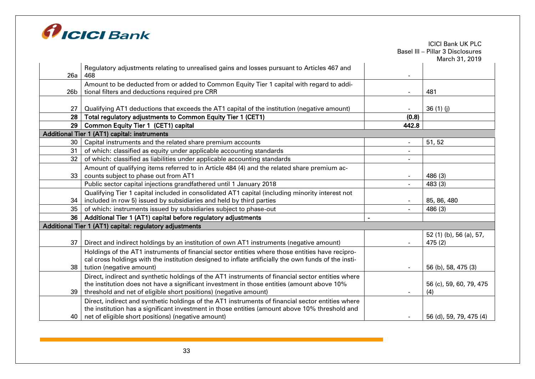

|                 |                                                                                                      |                          | Basel III - Pillar 3 Disclosures<br>March 31, 2019 |
|-----------------|------------------------------------------------------------------------------------------------------|--------------------------|----------------------------------------------------|
|                 | Regulatory adjustments relating to unrealised gains and losses pursuant to Articles 467 and          |                          |                                                    |
| 26a             | 468                                                                                                  |                          |                                                    |
|                 | Amount to be deducted from or added to Common Equity Tier 1 capital with regard to addi-             |                          |                                                    |
| 26 <sub>b</sub> | tional filters and deductions required pre CRR                                                       |                          | 481                                                |
|                 |                                                                                                      |                          |                                                    |
| 27              | Qualifying AT1 deductions that exceeds the AT1 capital of the institution (negative amount)          |                          | 36(1)(j)                                           |
| 28              | Total regulatory adjustments to Common Equity Tier 1 (CET1)                                          | (0.8)                    |                                                    |
| 29              | <b>Common Equity Tier 1 (CET1) capital</b>                                                           | 442.8                    |                                                    |
|                 | Additional Tier 1 (AT1) capital: instruments                                                         |                          |                                                    |
| 30 <sub>o</sub> | Capital instruments and the related share premium accounts                                           |                          | 51, 52                                             |
| 31              | of which: classified as equity under applicable accounting standards                                 | $\overline{\phantom{a}}$ |                                                    |
| 32              | of which: classified as liabilities under applicable accounting standards                            |                          |                                                    |
|                 | Amount of qualifying items referred to in Article 484 (4) and the related share premium ac-          |                          |                                                    |
| 33              | counts subject to phase out from AT1                                                                 |                          | 486 (3)                                            |
|                 | Public sector capital injections grandfathered until 1 January 2018                                  |                          | 483 (3)                                            |
|                 | Qualifying Tier 1 capital included in consolidated AT1 capital (including minority interest not      |                          |                                                    |
| 34              | included in row 5) issued by subsidiaries and held by third parties                                  |                          | 85, 86, 480                                        |
| 35              | of which: instruments issued by subsidiaries subject to phase-out                                    |                          | 486 (3)                                            |
| 36              | Additional Tier 1 (AT1) capital before regulatory adjustments                                        | $\blacksquare$           |                                                    |
|                 | Additional Tier 1 (AT1) capital: regulatory adjustments                                              |                          |                                                    |
|                 |                                                                                                      |                          | 52 (1) (b), 56 (a), 57,                            |
| 37              | Direct and indirect holdings by an institution of own AT1 instruments (negative amount)              | $\blacksquare$           | 475(2)                                             |
|                 | Holdings of the AT1 instruments of financial sector entities where those entities have recipro-      |                          |                                                    |
|                 | cal cross holdings with the institution designed to inflate artificially the own funds of the insti- |                          |                                                    |
| 38              | tution (negative amount)                                                                             |                          | 56 (b), 58, 475 (3)                                |
|                 | Direct, indirect and synthetic holdings of the AT1 instruments of financial sector entities where    |                          |                                                    |
|                 | the institution does not have a significant investment in those entities (amount above 10%           |                          | 56 (c), 59, 60, 79, 475                            |
| 39              | threshold and net of eligible short positions) (negative amount)                                     |                          | (4)                                                |
|                 | Direct, indirect and synthetic holdings of the AT1 instruments of financial sector entities where    |                          |                                                    |
|                 | the institution has a significant investment in those entities (amount above 10% threshold and       |                          |                                                    |
| 40              | net of eligible short positions) (negative amount)                                                   |                          | 56 (d), 59, 79, 475 (4)                            |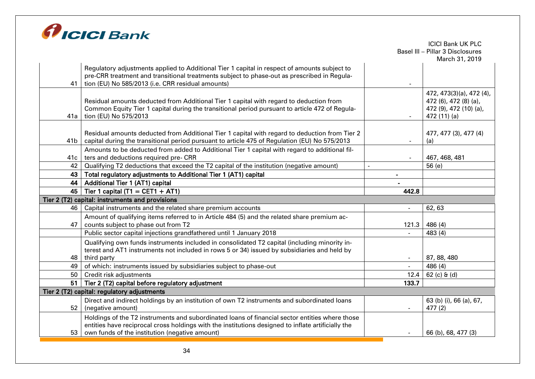

|                 |                                                                                                                                                                                          |                | <b>ICICI Bank UK PLC</b><br>Basel III - Pillar 3 Disclosures |
|-----------------|------------------------------------------------------------------------------------------------------------------------------------------------------------------------------------------|----------------|--------------------------------------------------------------|
|                 |                                                                                                                                                                                          |                | March 31, 2019                                               |
|                 | Regulatory adjustments applied to Additional Tier 1 capital in respect of amounts subject to                                                                                             |                |                                                              |
| 41              | pre-CRR treatment and transitional treatments subject to phase-out as prescribed in Regula-<br>tion (EU) No 585/2013 (i.e. CRR residual amounts)                                         |                |                                                              |
|                 |                                                                                                                                                                                          |                |                                                              |
|                 |                                                                                                                                                                                          |                | 472, 473(3)(a), 472 (4),                                     |
|                 | Residual amounts deducted from Additional Tier 1 capital with regard to deduction from<br>Common Equity Tier 1 capital during the transitional period pursuant to article 472 of Regula- |                | 472 (6), 472 (8) (a),<br>472 (9), 472 (10) (a),              |
| 41a             | tion (EU) No 575/2013                                                                                                                                                                    |                | 472 (11) (a)                                                 |
|                 |                                                                                                                                                                                          |                |                                                              |
|                 | Residual amounts deducted from Additional Tier 1 capital with regard to deduction from Tier 2                                                                                            |                | 477, 477 (3), 477 (4)                                        |
| 41 <sub>b</sub> | capital during the transitional period pursuant to article 475 of Regulation (EU) No 575/2013                                                                                            |                | (a)                                                          |
|                 | Amounts to be deducted from added to Additional Tier 1 capital with regard to additional fil-                                                                                            |                |                                                              |
| 41c             | ters and deductions required pre- CRR                                                                                                                                                    |                | 467, 468, 481                                                |
| 42              | Qualifying T2 deductions that exceed the T2 capital of the institution (negative amount)                                                                                                 |                | 56(e)                                                        |
| 43              | Total regulatory adjustments to Additional Tier 1 (AT1) capital                                                                                                                          |                |                                                              |
| 44              | Additional Tier 1 (AT1) capital                                                                                                                                                          |                |                                                              |
| 45              | Tier 1 capital (T1 = CET1 + AT1)                                                                                                                                                         | 442.8          |                                                              |
|                 | Tier 2 (T2) capital: instruments and provisions                                                                                                                                          |                |                                                              |
| 46              | Capital instruments and the related share premium accounts                                                                                                                               |                | 62,63                                                        |
|                 | Amount of qualifying items referred to in Article 484 (5) and the related share premium ac-                                                                                              |                |                                                              |
| 47              | counts subject to phase out from T2                                                                                                                                                      | 121.3          | 486 (4)                                                      |
|                 | Public sector capital injections grandfathered until 1 January 2018                                                                                                                      |                | 483 (4)                                                      |
|                 | Qualifying own funds instruments included in consolidated T2 capital (including minority in-                                                                                             |                |                                                              |
| 48              | terest and AT1 instruments not included in rows 5 or 34) issued by subsidiaries and held by<br>third party                                                                               |                | 87, 88, 480                                                  |
| 49              | of which: instruments issued by subsidiaries subject to phase-out                                                                                                                        |                | 486 (4)                                                      |
| 50              | Credit risk adjustments                                                                                                                                                                  | 12.4           | $62$ (c) $6$ (d)                                             |
| 51              | Tier 2 (T2) capital before regulatory adjustment                                                                                                                                         | 133.7          |                                                              |
|                 | Tier 2 (T2) capital: regulatory adjustments                                                                                                                                              |                |                                                              |
|                 | Direct and indirect holdings by an institution of own T2 instruments and subordinated loans                                                                                              |                | 63 (b) (i), 66 (a), 67,                                      |
| 52              | (negative amount)                                                                                                                                                                        | $\blacksquare$ | 477(2)                                                       |
|                 | Holdings of the T2 instruments and subordinated loans of financial sector entities where those                                                                                           |                |                                                              |
|                 | entities have reciprocal cross holdings with the institutions designed to inflate artificially the                                                                                       |                |                                                              |
| 53              | own funds of the institution (negative amount)                                                                                                                                           |                | 66 (b), 68, 477 (3)                                          |
|                 |                                                                                                                                                                                          |                |                                                              |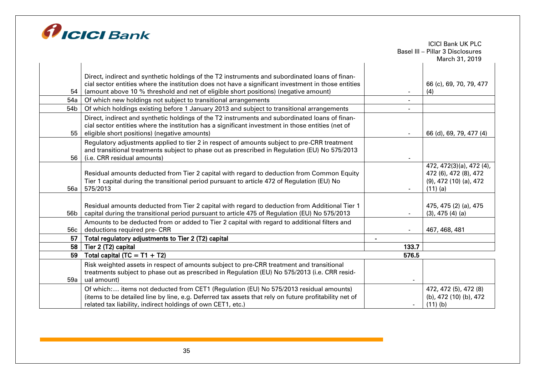

|      |                                                                                                                                                                      |       | Basel III - Pillar 3 Disclosures<br>March 31, 2019 |
|------|----------------------------------------------------------------------------------------------------------------------------------------------------------------------|-------|----------------------------------------------------|
|      |                                                                                                                                                                      |       |                                                    |
|      | Direct, indirect and synthetic holdings of the T2 instruments and subordinated loans of finan-                                                                       |       |                                                    |
|      | cial sector entities where the institution does not have a significant investment in those entities                                                                  |       | 66 (c), 69, 70, 79, 477                            |
| 54   | (amount above 10 % threshold and net of eligible short positions) (negative amount)                                                                                  |       | (4)                                                |
| 54a  | Of which new holdings not subject to transitional arrangements                                                                                                       |       |                                                    |
| 54b  | Of which holdings existing before 1 January 2013 and subject to transitional arrangements                                                                            |       |                                                    |
|      | Direct, indirect and synthetic holdings of the T2 instruments and subordinated loans of finan-                                                                       |       |                                                    |
|      | cial sector entities where the institution has a significant investment in those entities (net of                                                                    |       |                                                    |
| 55 l | eligible short positions) (negative amounts)                                                                                                                         |       | 66 (d), 69, 79, 477 (4)                            |
|      | Regulatory adjustments applied to tier 2 in respect of amounts subject to pre-CRR treatment                                                                          |       |                                                    |
| 56   | and transitional treatments subject to phase out as prescribed in Regulation (EU) No 575/2013<br>(i.e. CRR residual amounts)                                         |       |                                                    |
|      |                                                                                                                                                                      |       | 472, 472(3)(a), 472 (4),                           |
|      | Residual amounts deducted from Tier 2 capital with regard to deduction from Common Equity                                                                            |       | 472 (6), 472 (8), 472                              |
|      | Tier 1 capital during the transitional period pursuant to article 472 of Regulation (EU) No                                                                          |       | $(9)$ , 472 $(10)$ $(a)$ , 472                     |
| 56a  | 575/2013                                                                                                                                                             |       | $(11)$ (a)                                         |
|      |                                                                                                                                                                      |       |                                                    |
|      | Residual amounts deducted from Tier 2 capital with regard to deduction from Additional Tier 1                                                                        |       | 475, 475 (2) (a), 475                              |
| 56b  | capital during the transitional period pursuant to article 475 of Regulation (EU) No 575/2013                                                                        |       | $(3)$ , 475 $(4)$ $(a)$                            |
|      | Amounts to be deducted from or added to Tier 2 capital with regard to additional filters and                                                                         |       |                                                    |
| 56c  | deductions required pre- CRR                                                                                                                                         |       | 467, 468, 481                                      |
| 57   | Total regulatory adjustments to Tier 2 (T2) capital                                                                                                                  |       |                                                    |
| 58   | Tier 2 (T2) capital                                                                                                                                                  | 133.7 |                                                    |
| 59   | Total capital (TC = $T1 + T2$ )                                                                                                                                      | 576.5 |                                                    |
|      | Risk weighted assets in respect of amounts subject to pre-CRR treatment and transitional                                                                             |       |                                                    |
|      | treatments subject to phase out as prescribed in Regulation (EU) No 575/2013 (i.e. CRR resid-                                                                        |       |                                                    |
| 59a  | ual amount)                                                                                                                                                          |       |                                                    |
|      | Of which: items not deducted from CET1 (Regulation (EU) No 575/2013 residual amounts)                                                                                |       | 472, 472 (5), 472 (8)                              |
|      | (items to be detailed line by line, e.g. Deferred tax assets that rely on future profitability net of<br>related tax liability, indirect holdings of own CET1, etc.) |       | (b), 472 (10) (b), 472<br>$(11)$ (b)               |
|      |                                                                                                                                                                      |       |                                                    |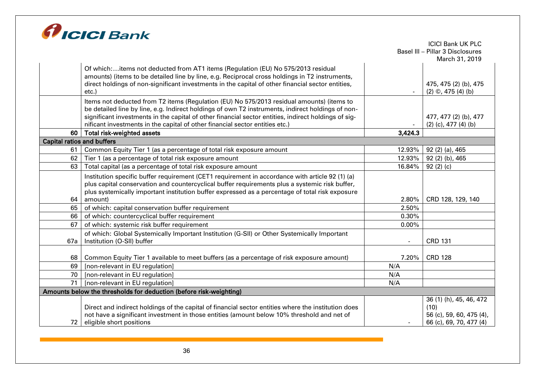

|                                   |                                                                                                      |         | <b>ICICI Bank UK PLC</b>         |
|-----------------------------------|------------------------------------------------------------------------------------------------------|---------|----------------------------------|
|                                   |                                                                                                      |         | Basel III - Pillar 3 Disclosures |
|                                   |                                                                                                      |         | March 31, 2019                   |
|                                   | Of which:items not deducted from AT1 items (Regulation (EU) No 575/2013 residual                     |         |                                  |
|                                   | amounts) (items to be detailed line by line, e.g. Reciprocal cross holdings in T2 instruments,       |         |                                  |
|                                   | direct holdings of non-significant investments in the capital of other financial sector entities,    |         | 475, 475 (2) (b), 475            |
|                                   | etc.)                                                                                                |         | $(2)$ ©, 475 $(4)$ (b)           |
|                                   | Items not deducted from T2 items (Regulation (EU) No 575/2013 residual amounts) (items to            |         |                                  |
|                                   | be detailed line by line, e.g. Indirect holdings of own T2 instruments, indirect holdings of non-    |         |                                  |
|                                   | significant investments in the capital of other financial sector entities, indirect holdings of sig- |         | 477, 477 (2) (b), 477            |
|                                   | nificant investments in the capital of other financial sector entities etc.)                         |         | $(2)$ (c), 477 (4) (b)           |
| 60                                | <b>Total risk-weighted assets</b>                                                                    | 3,424.3 |                                  |
| <b>Capital ratios and buffers</b> |                                                                                                      |         |                                  |
| 61                                | Common Equity Tier 1 (as a percentage of total risk exposure amount                                  | 12.93%  | 92 (2) (a), 465                  |
| 62                                | Tier 1 (as a percentage of total risk exposure amount                                                | 12.93%  | 92 (2) (b), 465                  |
| 63                                | Total capital (as a percentage of total risk exposure amount                                         | 16.84%  | 92(2)(c)                         |
|                                   | Institution specific buffer requirement (CET1 requirement in accordance with article 92 (1) (a)      |         |                                  |
|                                   | plus capital conservation and countercyclical buffer requirements plus a systemic risk buffer,       |         |                                  |
|                                   | plus systemically important institution buffer expressed as a percentage of total risk exposure      |         |                                  |
| 64                                | amount)                                                                                              | 2.80%   | CRD 128, 129, 140                |
| 65                                | of which: capital conservation buffer requirement                                                    | 2.50%   |                                  |
| 66                                | of which: countercyclical buffer requirement                                                         | 0.30%   |                                  |
| 67                                | of which: systemic risk buffer requirement                                                           | 0.00%   |                                  |
|                                   | of which: Global Systemically Important Institution (G-SII) or Other Systemically Important          |         |                                  |
| 67a                               | Institution (O-SII) buffer                                                                           |         | <b>CRD 131</b>                   |
|                                   |                                                                                                      |         |                                  |
| 68                                | Common Equity Tier 1 available to meet buffers (as a percentage of risk exposure amount)             | 7.20%   | <b>CRD 128</b>                   |
| 69                                | [non-relevant in EU regulation]                                                                      | N/A     |                                  |
| 70                                | [non-relevant in EU regulation]                                                                      | N/A     |                                  |
| 71                                | [non-relevant in EU regulation]                                                                      | N/A     |                                  |
|                                   | Amounts below the thresholds for deduction (before risk-weighting)                                   |         |                                  |
|                                   |                                                                                                      |         | 36 (1) (h), 45, 46, 472          |
|                                   | Direct and indirect holdings of the capital of financial sector entities where the institution does  |         | (10)                             |
|                                   | not have a significant investment in those entities (amount below 10% threshold and net of           |         | 56 (c), 59, 60, 475 (4),         |
| 72                                | eligible short positions                                                                             |         | 66 (c), 69, 70, 477 (4)          |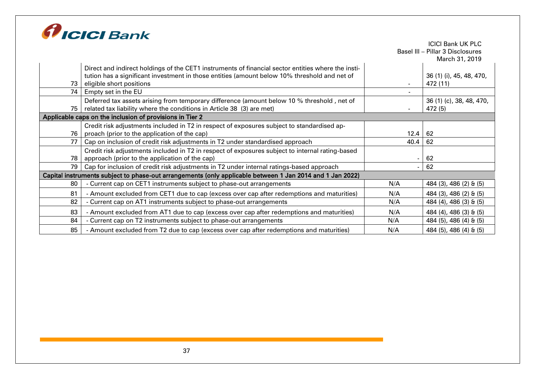

|      |                                                                                                           |      | Basel III - Pillar 3 Disclosures |
|------|-----------------------------------------------------------------------------------------------------------|------|----------------------------------|
|      |                                                                                                           |      | March 31, 2019                   |
|      | Direct and indirect holdings of the CET1 instruments of financial sector entities where the insti-        |      |                                  |
|      | tution has a significant investment in those entities (amount below 10% threshold and net of              |      | 36 (1) (i), 45, 48, 470,         |
| 73 l | eligible short positions                                                                                  |      | 472 (11)                         |
|      | 74   Empty set in the EU                                                                                  |      |                                  |
|      | Deferred tax assets arising from temporary difference (amount below 10 % threshold, net of                |      | 36 (1) (c), 38, 48, 470,         |
|      | 75   related tax liability where the conditions in Article 38 (3) are met)                                |      | 472 (5)                          |
|      | Applicable caps on the inclusion of provisions in Tier 2                                                  |      |                                  |
|      | Credit risk adjustments included in T2 in respect of exposures subject to standardised ap-                |      |                                  |
|      | 76   proach (prior to the application of the cap)                                                         | 12.4 | 62                               |
| 77   | Cap on inclusion of credit risk adjustments in T2 under standardised approach                             | 40.4 | 62                               |
|      | Credit risk adjustments included in T2 in respect of exposures subject to internal rating-based           |      |                                  |
| 78 I | approach (prior to the application of the cap)                                                            |      | 62                               |
|      | 79   Cap for inclusion of credit risk adjustments in T2 under internal ratings-based approach             |      | 62                               |
|      | Capital instruments subject to phase-out arrangements (only applicable between 1 Jan 2014 and 1 Jan 2022) |      |                                  |
| 80   | - Current cap on CET1 instruments subject to phase-out arrangements                                       | N/A  | 484 (3), 486 (2) & (5)           |
| 81   | - Amount excluded from CET1 due to cap (excess over cap after redemptions and maturities)                 | N/A  | 484 (3), 486 (2) & (5)           |
| 82   | - Current cap on AT1 instruments subject to phase-out arrangements                                        | N/A  | 484 (4), 486 (3) & (5)           |
| 83   | - Amount excluded from AT1 due to cap (excess over cap after redemptions and maturities)                  | N/A  | 484 (4), 486 (3) & (5)           |
| 84   | - Current cap on T2 instruments subject to phase-out arrangements                                         | N/A  | 484 (5), 486 (4) & (5)           |
| 85   | - Amount excluded from T2 due to cap (excess over cap after redemptions and maturities)                   | N/A  | 484 (5), 486 (4) & (5)           |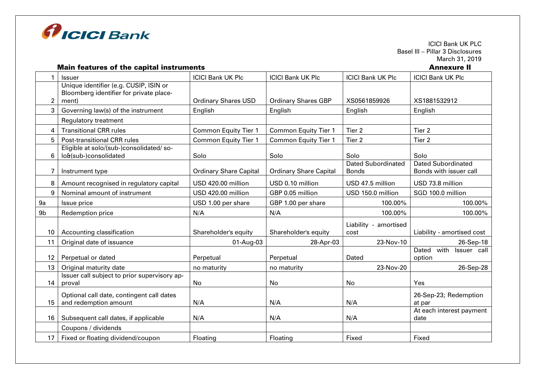

ICICI Bank UK PLC Basel III – Pillar 3 Disclosures **March 31, 2019**<br>**Annexure II** 

#### Main features of the capital instruments

|                | <b>Issuer</b>                                                                              | <b>ICICI Bank UK Plc</b>      | <b>ICICI Bank UK Plc</b>      | <b>ICICI Bank UK Plc</b>                  | <b>ICICI Bank UK Plc</b>                            |
|----------------|--------------------------------------------------------------------------------------------|-------------------------------|-------------------------------|-------------------------------------------|-----------------------------------------------------|
| 2              | Unique identifier (e.g. CUSIP, ISIN or<br>Bloomberg identifier for private place-<br>ment) | <b>Ordinary Shares USD</b>    | <b>Ordinary Shares GBP</b>    | XS0561859926                              | XS1881532912                                        |
| 3              | Governing law(s) of the instrument                                                         | English                       | English                       | English                                   | English                                             |
|                | Regulatory treatment                                                                       |                               |                               |                                           |                                                     |
| 4              | <b>Transitional CRR rules</b>                                                              | <b>Common Equity Tier 1</b>   | <b>Common Equity Tier 1</b>   | Tier 2                                    | Tier 2                                              |
| 5              | Post-transitional CRR rules                                                                | <b>Common Equity Tier 1</b>   | <b>Common Equity Tier 1</b>   | Tier 2                                    | Tier 2                                              |
| 6              | Eligible at solo/(sub-)consolidated/ so-<br>lo&(sub-)consolidated                          | Solo                          | Solo                          | Solo                                      | Solo                                                |
|                | Instrument type                                                                            | <b>Ordinary Share Capital</b> | <b>Ordinary Share Capital</b> | <b>Dated Subordinated</b><br><b>Bonds</b> | <b>Dated Subordinated</b><br>Bonds with issuer call |
| 8              | Amount recognised in regulatory capital                                                    | USD 420.00 million            | USD 0.10 million              | USD 47.5 million                          | USD 73.8 million                                    |
| 9              | Nominal amount of instrument                                                               | USD 420.00 million            | GBP 0.05 million              | USD 150.0 million                         | SGD 100.0 million                                   |
| 9a             | Issue price                                                                                | USD 1.00 per share            | GBP 1.00 per share            | 100.00%                                   | 100.00%                                             |
| 9 <sub>b</sub> | Redemption price                                                                           | N/A                           | N/A                           | 100.00%                                   | 100.00%                                             |
| 10             | Accounting classification                                                                  | Shareholder's equity          | Shareholder's equity          | Liability - amortised<br>cost             | Liability - amortised cost                          |
| 11             | Original date of issuance                                                                  | 01-Aug-03                     | 28-Apr-03                     | 23-Nov-10                                 | 26-Sep-18                                           |
| 12             | Perpetual or dated                                                                         | Perpetual                     | Perpetual                     | Dated                                     | Dated with<br>Issuer call<br>option                 |
| 13             | Original maturity date                                                                     | no maturity                   | no maturity                   | 23-Nov-20                                 | 26-Sep-28                                           |
| 14             | Issuer call subject to prior supervisory ap-<br>proval                                     | No                            | No                            | No                                        | Yes                                                 |
| 15             | Optional call date, contingent call dates<br>and redemption amount                         | N/A                           | N/A                           | N/A                                       | 26-Sep-23; Redemption<br>at par                     |
| 16             | Subsequent call dates, if applicable                                                       | N/A                           | N/A                           | N/A                                       | At each interest payment<br>date                    |
|                | Coupons / dividends                                                                        |                               |                               |                                           |                                                     |
| 17             | Fixed or floating dividend/coupon                                                          | Floating                      | Floating                      | Fixed                                     | Fixed                                               |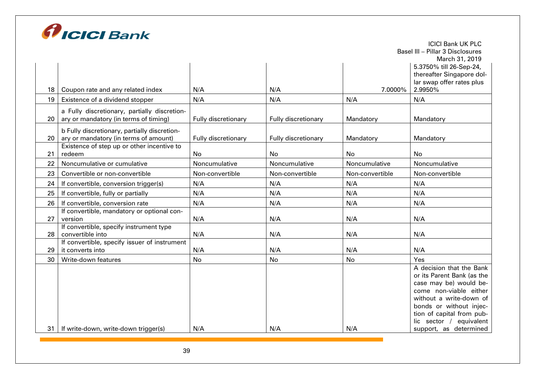

|    |                                                             |                     |                     |                 | <b>ICICI Bank UK PLC</b>                               |
|----|-------------------------------------------------------------|---------------------|---------------------|-----------------|--------------------------------------------------------|
|    |                                                             |                     |                     |                 | Basel III - Pillar 3 Disclosures                       |
|    |                                                             |                     |                     |                 | March 31, 2019                                         |
|    |                                                             |                     |                     |                 | 5.3750% till 26-Sep-24,                                |
|    |                                                             |                     |                     |                 | thereafter Singapore dol-<br>lar swap offer rates plus |
| 18 | Coupon rate and any related index                           | N/A                 | N/A                 | 7.0000%         | 2.9950%                                                |
| 19 | Existence of a dividend stopper                             | N/A                 | N/A                 | N/A             | N/A                                                    |
|    | a Fully discretionary, partially discretion-                |                     |                     |                 |                                                        |
| 20 | ary or mandatory (in terms of timing)                       | Fully discretionary | Fully discretionary | Mandatory       | Mandatory                                              |
|    | b Fully discretionary, partially discretion-                |                     |                     |                 |                                                        |
| 20 | ary or mandatory (in terms of amount)                       | Fully discretionary | Fully discretionary | Mandatory       | Mandatory                                              |
|    | Existence of step up or other incentive to                  |                     |                     |                 |                                                        |
| 21 | redeem                                                      | <b>No</b>           | <b>No</b>           | <b>No</b>       | <b>No</b>                                              |
| 22 | Noncumulative or cumulative                                 | Noncumulative       | Noncumulative       | Noncumulative   | Noncumulative                                          |
| 23 | Convertible or non-convertible                              | Non-convertible     | Non-convertible     | Non-convertible | Non-convertible                                        |
| 24 | If convertible, conversion trigger(s)                       | N/A                 | N/A                 | N/A             | N/A                                                    |
| 25 | If convertible, fully or partially                          | N/A                 | N/A                 | N/A             | N/A                                                    |
| 26 | If convertible, conversion rate                             | N/A                 | N/A                 | N/A             | N/A                                                    |
|    | If convertible, mandatory or optional con-                  |                     |                     |                 |                                                        |
| 27 | version                                                     | N/A                 | N/A                 | N/A             | N/A                                                    |
| 28 | If convertible, specify instrument type<br>convertible into | N/A                 | N/A                 | N/A             | N/A                                                    |
|    | If convertible, specify issuer of instrument                |                     |                     |                 |                                                        |
| 29 | it converts into                                            | N/A                 | N/A                 | N/A             | N/A                                                    |
| 30 | Write-down features                                         | <b>No</b>           | No                  | No              | Yes                                                    |
|    |                                                             |                     |                     |                 | A decision that the Bank                               |
|    |                                                             |                     |                     |                 | or its Parent Bank (as the                             |
|    |                                                             |                     |                     |                 | case may be) would be-                                 |
|    |                                                             |                     |                     |                 | come non-viable either<br>without a write-down of      |
|    |                                                             |                     |                     |                 | bonds or without injec-                                |
|    |                                                             |                     |                     |                 | tion of capital from pub-                              |
|    |                                                             |                     |                     |                 | lic sector / equivalent                                |
| 31 | If write-down, write-down trigger(s)                        | N/A                 | N/A                 | N/A             | support, as determined                                 |
|    |                                                             |                     |                     |                 |                                                        |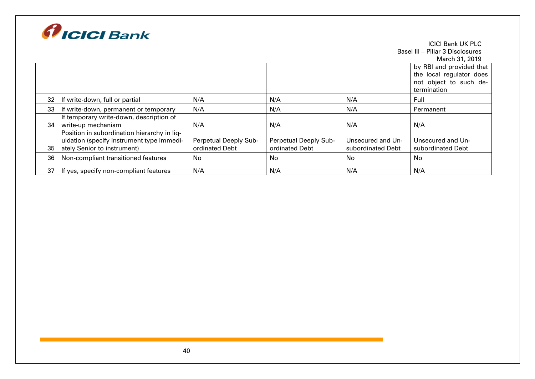

|                 |                                             |                       |                       |                   | <b>ICICI Bank UK PLC</b>         |
|-----------------|---------------------------------------------|-----------------------|-----------------------|-------------------|----------------------------------|
|                 |                                             |                       |                       |                   | Basel III - Pillar 3 Disclosures |
|                 |                                             |                       |                       |                   | March 31, 2019                   |
|                 |                                             |                       |                       |                   | by RBI and provided that         |
|                 |                                             |                       |                       |                   | the local regulator does         |
|                 |                                             |                       |                       |                   | not object to such de-           |
|                 |                                             |                       |                       |                   | termination                      |
| 32 <sup>2</sup> | If write-down, full or partial              | N/A                   | N/A                   | N/A               | Full                             |
| 33              | If write-down, permanent or temporary       | N/A                   | N/A                   | N/A               | Permanent                        |
|                 | If temporary write-down, description of     |                       |                       |                   |                                  |
| 34              | write-up mechanism                          | N/A                   | N/A                   | N/A               | N/A                              |
|                 | Position in subordination hierarchy in liq- |                       |                       |                   |                                  |
|                 | uidation (specify instrument type immedi-   | Perpetual Deeply Sub- | Perpetual Deeply Sub- | Unsecured and Un- | Unsecured and Un-                |
| 35              | ately Senior to instrument)                 | ordinated Debt        | ordinated Debt        | subordinated Debt | subordinated Debt                |
| 36              | Non-compliant transitioned features         | No                    | No                    | No                | No                               |
| 37 I            | If yes, specify non-compliant features      | N/A                   | N/A                   | N/A               | N/A                              |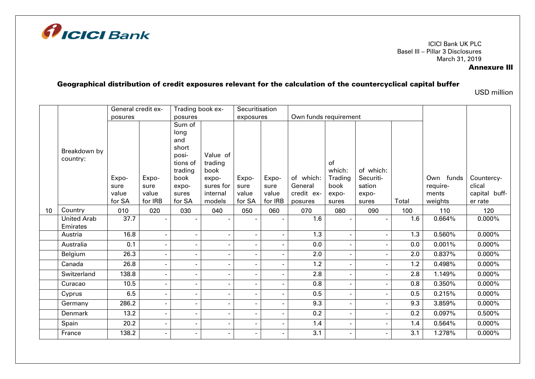

## Annexure III

# Geographical distribution of credit exposures relevant for the calculation of the countercyclical capital buffer

USD million

|    |                    | General credit ex- |                          | Trading book ex-         |                          | Securitisation               |                |                       |         |           |       |           |               |
|----|--------------------|--------------------|--------------------------|--------------------------|--------------------------|------------------------------|----------------|-----------------------|---------|-----------|-------|-----------|---------------|
|    |                    | posures            |                          | posures                  |                          | exposures                    |                | Own funds requirement |         |           |       |           |               |
|    |                    |                    |                          | Sum of                   |                          |                              |                |                       |         |           |       |           |               |
|    |                    |                    |                          | long                     |                          |                              |                |                       |         |           |       |           |               |
|    |                    |                    |                          | and                      |                          |                              |                |                       |         |           |       |           |               |
|    | Breakdown by       |                    |                          | short                    |                          |                              |                |                       |         |           |       |           |               |
|    | country:           |                    |                          | posi-                    | Value of                 |                              |                |                       |         |           |       |           |               |
|    |                    |                    |                          | tions of                 | trading                  |                              |                |                       | of      |           |       |           |               |
|    |                    |                    |                          | trading                  | book                     |                              |                |                       | which:  | of which: |       |           |               |
|    |                    | Expo-              | Expo-                    | book                     | expo-                    | Expo-                        | Expo-          | of which:             | Trading | Securiti- |       | Own funds | Countercy-    |
|    |                    | sure               | sure                     | expo-                    | sures for                | sure                         | sure           | General               | book    | sation    |       | require-  | clical        |
|    |                    | value              | value                    | sures                    | internal                 | value                        | value          | credit ex-            | expo-   | expo-     |       | ments     | capital buff- |
|    |                    | for SA             | for IRB                  | for SA                   | models                   | for SA                       | for IRB        | posures               | sures   | sures     | Total | weights   | er rate       |
| 10 | Country            | 010                | 020                      | 030                      | 040                      | 050                          | 060            | 070                   | 080     | 090       | 100   | 110       | 120           |
|    | <b>United Arab</b> | 37.7               |                          |                          |                          | $\blacksquare$               |                | 1.6                   | $\sim$  |           | 1.6   | 0.664%    | $0.000\%$     |
|    | Emirates           |                    |                          |                          |                          |                              |                |                       |         |           |       |           |               |
|    | Austria            | 16.8               | $\blacksquare$           | $\blacksquare$           | $\blacksquare$           | $\overline{\phantom{a}}$     |                | 1.3                   | $\sim$  |           | 1.3   | 0.560%    | $0.000\%$     |
|    | Australia          | 0.1                | $\blacksquare$           | $\blacksquare$           | $\blacksquare$           | $\overline{\phantom{a}}$     |                | 0.0                   | $\sim$  |           | 0.0   | 0.001%    | $0.000\%$     |
|    | Belgium            | 26.3               | $\overline{\phantom{a}}$ | $\overline{\phantom{a}}$ | $\overline{\phantom{a}}$ | $\overline{\phantom{a}}$     |                | 2.0                   | $\sim$  |           | 2.0   | 0.837%    | $0.000\%$     |
|    | Canada             | 26.8               | $\blacksquare$           | $\blacksquare$           | $\blacksquare$           | $\blacksquare$               |                | 1.2                   | $\sim$  |           | 1.2   | 0.498%    | $0.000\%$     |
|    | Switzerland        | 138.8              | $\blacksquare$           | $\overline{\phantom{0}}$ | $\blacksquare$           | $\overline{\phantom{a}}$     |                | 2.8                   | $\sim$  |           | 2.8   | 1.149%    | $0.000\%$     |
|    | Curacao            | 10.5               |                          | ٠                        | $\blacksquare$           | $\blacksquare$               |                | 0.8                   | $\sim$  |           | 0.8   | 0.350%    | $0.000\%$     |
|    | Cyprus             | 6.5                |                          | $\overline{\phantom{a}}$ | $\overline{\phantom{a}}$ | $\qquad \qquad \blacksquare$ |                | 0.5                   | $\sim$  |           | 0.5   | 0.215%    | $0.000\%$     |
|    | Germany            | 286.2              | $\overline{\phantom{a}}$ | $\overline{\phantom{a}}$ | $\overline{\phantom{a}}$ | $\overline{\phantom{a}}$     |                | 9.3                   | $\sim$  |           | 9.3   | 3.859%    | $0.000\%$     |
|    | Denmark            | 13.2               | $\overline{\phantom{a}}$ | $\blacksquare$           | $\blacksquare$           | $\overline{\phantom{a}}$     | $\blacksquare$ | 0.2                   | $\sim$  |           | 0.2   | 0.097%    | 0.500%        |
|    | Spain              | 20.2               | $\overline{\phantom{a}}$ |                          | $\overline{\phantom{a}}$ | $\qquad \qquad \blacksquare$ |                | 1.4                   | $\sim$  |           | 1.4   | 0.564%    | $0.000\%$     |
|    | France             | 138.2              | -                        | $\overline{\phantom{0}}$ | $\blacksquare$           | $\overline{\phantom{a}}$     |                | 3.1                   | $\sim$  |           | 3.1   | 1.278%    | 0.000%        |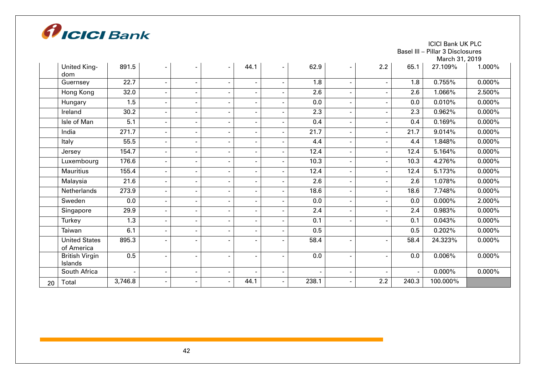

Basel III – Pillar 3 Disclosures March 21, 2010

|    |                                    |         |                          |                          |                          |                              |                          |       |                          |     |                          | March 31, 2019 |           |
|----|------------------------------------|---------|--------------------------|--------------------------|--------------------------|------------------------------|--------------------------|-------|--------------------------|-----|--------------------------|----------------|-----------|
|    | <b>United King-</b><br>dom         | 891.5   |                          | ٠                        | $\overline{\phantom{a}}$ | 44.1                         | $\blacksquare$           | 62.9  | $\overline{\phantom{0}}$ | 2.2 | 65.1                     | 27.109%        | 1.000%    |
|    | Guernsey                           | 22.7    |                          | $\overline{\phantom{0}}$ | $\blacksquare$           | $\overline{\phantom{a}}$     |                          | 1.8   | $\sim$                   |     | 1.8                      | 0.755%         | $0.000\%$ |
|    | Hong Kong                          | 32.0    |                          |                          | $\overline{\phantom{a}}$ | $\overline{\phantom{a}}$     |                          | 2.6   | $\sim$                   |     | 2.6                      | 1.066%         | 2.500%    |
|    | Hungary                            | 1.5     | -                        |                          | $\overline{\phantom{a}}$ | $\qquad \qquad \blacksquare$ |                          | 0.0   | $\overline{\phantom{0}}$ |     | 0.0                      | 0.010%         | $0.000\%$ |
|    | Ireland                            | 30.2    | $\blacksquare$           |                          | $\overline{\phantom{a}}$ | $\overline{\phantom{a}}$     |                          | 2.3   | $\sim$                   |     | 2.3                      | 0.962%         | $0.000\%$ |
|    | Isle of Man                        | 5.1     | $\blacksquare$           |                          | $\blacksquare$           | $\overline{\phantom{a}}$     |                          | 0.4   | $\sim$                   |     | 0.4                      | 0.169%         | $0.000\%$ |
|    | India                              | 271.7   | $\overline{\phantom{a}}$ | $\overline{\phantom{a}}$ | $\overline{\phantom{a}}$ | $\overline{\phantom{a}}$     |                          | 21.7  | $\sim$                   |     | 21.7                     | 9.014%         | $0.000\%$ |
|    | Italy                              | 55.5    | $\blacksquare$           |                          | $\blacksquare$           | $\overline{\phantom{a}}$     | $\overline{\phantom{0}}$ | 4.4   | $\sim$                   |     | 4.4                      | 1.848%         | $0.000\%$ |
|    | Jersey                             | 154.7   | $\blacksquare$           |                          | $\blacksquare$           | $\blacksquare$               |                          | 12.4  | $\sim$                   |     | 12.4                     | 5.164%         | $0.000\%$ |
|    | Luxembourg                         | 176.6   | $\blacksquare$           |                          | $\blacksquare$           | $\overline{\phantom{a}}$     |                          | 10.3  | $\sim$                   |     | 10.3                     | 4.276%         | $0.000\%$ |
|    | <b>Mauritius</b>                   | 155.4   |                          | $\overline{\phantom{0}}$ | $\blacksquare$           | $\overline{\phantom{a}}$     |                          | 12.4  | $\sim$                   |     | 12.4                     | 5.173%         | $0.000\%$ |
|    | Malaysia                           | 21.6    | $\blacksquare$           | $\blacksquare$           | $\overline{\phantom{a}}$ | ٠                            |                          | 2.6   | $\sim$                   |     | 2.6                      | 1.078%         | $0.000\%$ |
|    | Netherlands                        | 273.9   |                          |                          | $\blacksquare$           | $\blacksquare$               |                          | 18.6  | $\sim$                   |     | 18.6                     | 7.748%         | $0.000\%$ |
|    | Sweden                             | 0.0     |                          |                          | $\blacksquare$           | $\overline{\phantom{a}}$     |                          | 0.0   | $\sim$                   |     | 0.0                      | $0.000\%$      | 2.000%    |
|    | Singapore                          | 29.9    |                          |                          | $\overline{a}$           | $\overline{\phantom{a}}$     |                          | 2.4   | $\sim$                   |     | 2.4                      | 0.983%         | $0.000\%$ |
|    | Turkey                             | 1.3     |                          | $\blacksquare$           | $\blacksquare$           | $\overline{\phantom{a}}$     |                          | 0.1   | $\sim$                   |     | 0.1                      | 0.043%         | $0.000\%$ |
|    | Taiwan                             | 6.1     | -                        |                          | $\overline{\phantom{a}}$ | $\overline{\phantom{a}}$     |                          | 0.5   |                          |     | 0.5                      | 0.202%         | $0.000\%$ |
|    | <b>United States</b><br>of America | 895.3   |                          | $\blacksquare$           | $\blacksquare$           | $\overline{\phantom{a}}$     |                          | 58.4  | $\sim$                   |     | 58.4                     | 24.323%        | $0.000\%$ |
|    | <b>British Virgin</b><br>Islands   | 0.5     | $\overline{\phantom{0}}$ |                          | $\blacksquare$           | ٠                            |                          | 0.0   | $\overline{\phantom{0}}$ |     | 0.0                      | 0.006%         | $0.000\%$ |
|    | South Africa                       |         | ۰                        |                          | $\overline{\phantom{a}}$ | $\overline{a}$               |                          |       | $\sim$                   |     | $\overline{\phantom{a}}$ | $0.000\%$      | $0.000\%$ |
| 20 | Total                              | 3,746.8 |                          |                          | $\blacksquare$           | 44.1                         |                          | 238.1 | $\overline{\phantom{0}}$ | 2.2 | 240.3                    | 100.000%       |           |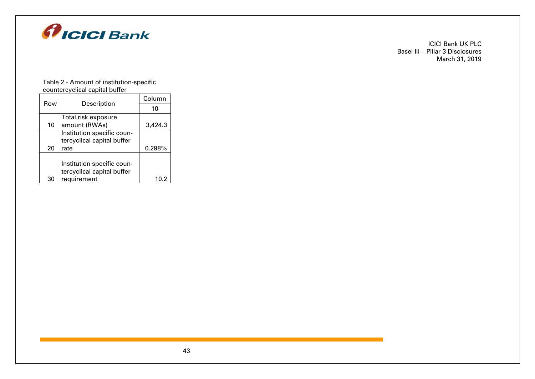

#### Table 2 - Amount of institution-specific countercyclical capital buffer

| Row | Description                | Column  |
|-----|----------------------------|---------|
|     |                            | 10      |
|     | Total risk exposure        |         |
| 10  | amount (RWAs)              | 3,424.3 |
|     | Institution specific coun- |         |
|     | tercyclical capital buffer |         |
| 20  | rate                       | 0.298%  |
|     |                            |         |
|     | Institution specific coun- |         |
|     | tercyclical capital buffer |         |
| 30  | requirement                | 10.2    |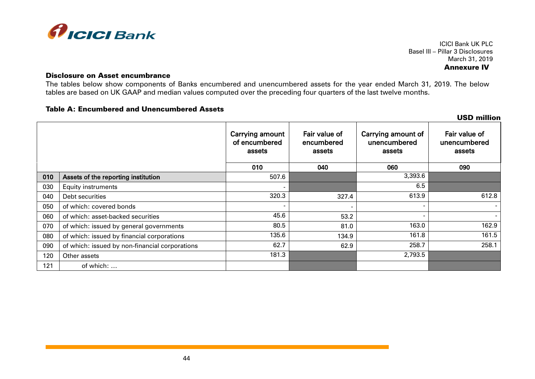

ICICI Bank UK PLC Basel III – Pillar 3 Disclosures March 31, 2019 Annexure IV

#### Disclosure on Asset encumbrance

The tables below show components of Banks encumbered and unencumbered assets for the year ended March 31, 2019. The below tables are based on UK GAAP and median values computed over the preceding four quarters of the last twelve months.

#### Table A: Encumbered and Unencumbered Assets

|     |                                                |                                            |                                       |                                              | <b>USD million</b>                      |
|-----|------------------------------------------------|--------------------------------------------|---------------------------------------|----------------------------------------------|-----------------------------------------|
|     |                                                | Carrying amount<br>of encumbered<br>assets | Fair value of<br>encumbered<br>assets | Carrying amount of<br>unencumbered<br>assets | Fair value of<br>unencumbered<br>assets |
|     |                                                | 010                                        | 040                                   | 060                                          | 090                                     |
| 010 | Assets of the reporting institution            | 507.6                                      |                                       | 3,393.6                                      |                                         |
| 030 | <b>Equity instruments</b>                      | ٠                                          |                                       | 6.5                                          |                                         |
| 040 | Debt securities                                | 320.3                                      | 327.4                                 | 613.9                                        | 612.8                                   |
| 050 | of which: covered bonds                        |                                            |                                       | $\overline{\phantom{0}}$                     | $\overline{a}$                          |
| 060 | of which: asset-backed securities              | 45.6                                       | 53.2                                  | ٠                                            | $\overline{\phantom{a}}$                |
| 070 | of which: issued by general governments        | 80.5                                       | 81.0                                  | 163.0                                        | 162.9                                   |
| 080 | of which: issued by financial corporations     | 135.6                                      | 134.9                                 | 161.8                                        | 161.5                                   |
| 090 | of which: issued by non-financial corporations | 62.7                                       | 62.9                                  | 258.7                                        | 258.1                                   |
| 120 | Other assets                                   | 181.3                                      |                                       | 2,793.5                                      |                                         |
| 121 | of which:                                      |                                            |                                       |                                              |                                         |

44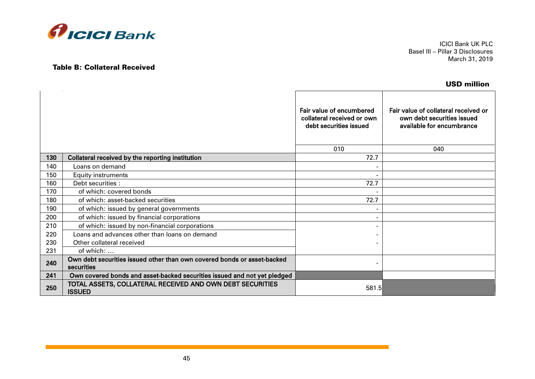

Table B: Collateral Received

ICICI Bank UK PLC Basel III – Pillar 3 Disclosures March 31, 2019

# USD million

|     |                                                                                       | Fair value of encumbered<br>collateral received or own<br>debt securities issued<br>010 | Fair value of collateral received or<br>own debt securities issued<br>available for encumbrance<br>040 |
|-----|---------------------------------------------------------------------------------------|-----------------------------------------------------------------------------------------|--------------------------------------------------------------------------------------------------------|
| 130 | Collateral received by the reporting institution                                      | 72.7                                                                                    |                                                                                                        |
| 140 | Loans on demand                                                                       |                                                                                         |                                                                                                        |
| 150 | <b>Equity instruments</b>                                                             | ۰                                                                                       |                                                                                                        |
| 160 | Debt securities :                                                                     | 72.7                                                                                    |                                                                                                        |
| 170 | of which: covered bonds                                                               |                                                                                         |                                                                                                        |
| 180 | of which: asset-backed securities                                                     | 72.7                                                                                    |                                                                                                        |
| 190 | of which: issued by general governments                                               |                                                                                         |                                                                                                        |
| 200 | of which: issued by financial corporations                                            |                                                                                         |                                                                                                        |
| 210 | of which: issued by non-financial corporations                                        |                                                                                         |                                                                                                        |
| 220 | Loans and advances other than loans on demand                                         |                                                                                         |                                                                                                        |
| 230 | Other collateral received                                                             |                                                                                         |                                                                                                        |
| 231 | of which:                                                                             |                                                                                         |                                                                                                        |
| 240 | Own debt securities issued other than own covered bonds or asset-backed<br>securities | ۰                                                                                       |                                                                                                        |
| 241 | Own covered bonds and asset-backed securities issued and not yet pledged              |                                                                                         |                                                                                                        |
| 250 | TOTAL ASSETS, COLLATERAL RECEIVED AND OWN DEBT SECURITIES<br><b>ISSUED</b>            | 581.5                                                                                   |                                                                                                        |